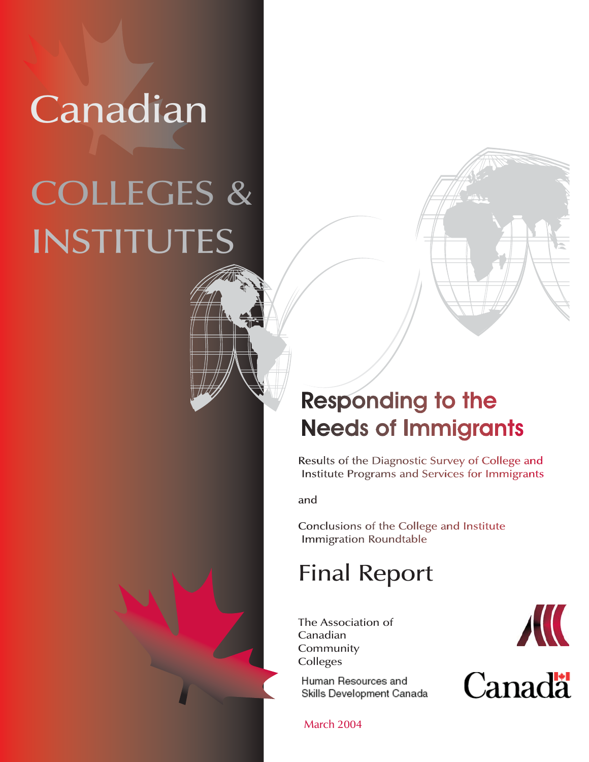## Canadian

# INSTITUTES COLLEGES &

### **Responding to the Needs of Immigrants**

Results of the Diagnostic Survey of College and Institute Programs and Services for Immigrants

and

Conclusions of the College and Institute **Immigration Roundtable** 

## Final Report

The Association of Canadian Community Colleges

Human Resources and Skills Development Canada

March 2004

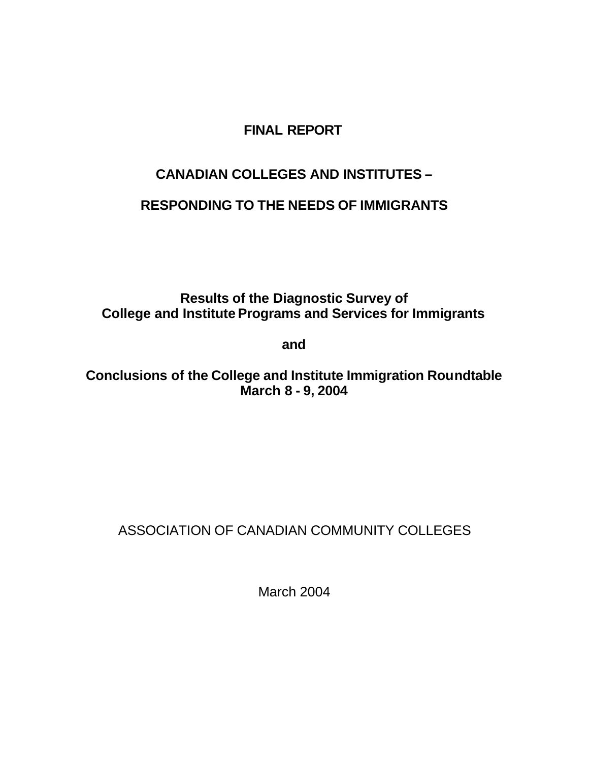#### **FINAL REPORT**

#### **CANADIAN COLLEGES AND INSTITUTES –**

#### **RESPONDING TO THE NEEDS OF IMMIGRANTS**

**Results of the Diagnostic Survey of College and Institute Programs and Services for Immigrants**

**and**

**Conclusions of the College and Institute Immigration Roundtable March 8 - 9, 2004**

#### ASSOCIATION OF CANADIAN COMMUNITY COLLEGES

March 2004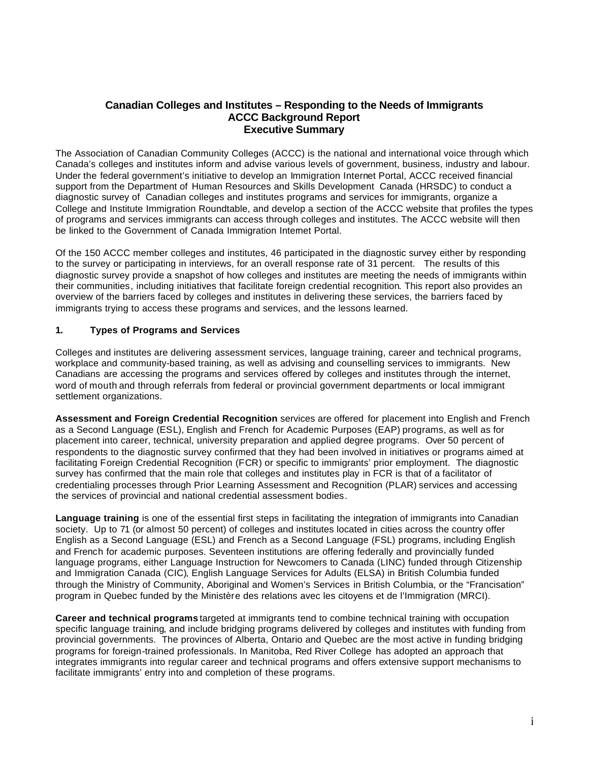#### **Canadian Colleges and Institutes – Responding to the Needs of Immigrants ACCC Background Report Executive Summary**

The Association of Canadian Community Colleges (ACCC) is the national and international voice through which Canada's colleges and institutes inform and advise various levels of government, business, industry and labour. Under the federal government's initiative to develop an Immigration Internet Portal, ACCC received financial support from the Department of Human Resources and Skills Development Canada (HRSDC) to conduct a diagnostic survey of Canadian colleges and institutes programs and services for immigrants, organize a College and Institute Immigration Roundtable, and develop a section of the ACCC website that profiles the types of programs and services immigrants can access through colleges and institutes. The ACCC website will then be linked to the Government of Canada Immigration Internet Portal.

Of the 150 ACCC member colleges and institutes, 46 participated in the diagnostic survey either by responding to the survey or participating in interviews, for an overall response rate of 31 percent. The results of this diagnostic survey provide a snapshot of how colleges and institutes are meeting the needs of immigrants within their communities, including initiatives that facilitate foreign credential recognition. This report also provides an overview of the barriers faced by colleges and institutes in delivering these services, the barriers faced by immigrants trying to access these programs and services, and the lessons learned.

#### **1. Types of Programs and Services**

Colleges and institutes are delivering assessment services, language training, career and technical programs, workplace and community-based training, as well as advising and counselling services to immigrants. New Canadians are accessing the programs and services offered by colleges and institutes through the internet, word of mouth and through referrals from federal or provincial government departments or local immigrant settlement organizations.

**Assessment and Foreign Credential Recognition** services are offered for placement into English and French as a Second Language (ESL), English and French for Academic Purposes (EAP) programs, as well as for placement into career, technical, university preparation and applied degree programs. Over 50 percent of respondents to the diagnostic survey confirmed that they had been involved in initiatives or programs aimed at facilitating Foreign Credential Recognition (FCR) or specific to immigrants' prior employment. The diagnostic survey has confirmed that the main role that colleges and institutes play in FCR is that of a facilitator of credentialing processes through Prior Learning Assessment and Recognition (PLAR) services and accessing the services of provincial and national credential assessment bodies.

**Language training** is one of the essential first steps in facilitating the integration of immigrants into Canadian society. Up to 71 (or almost 50 percent) of colleges and institutes located in cities across the country offer English as a Second Language (ESL) and French as a Second Language (FSL) programs, including English and French for academic purposes. Seventeen institutions are offering federally and provincially funded language programs, either Language Instruction for Newcomers to Canada (LINC) funded through Citizenship and Immigration Canada (CIC), English Language Services for Adults (ELSA) in British Columbia funded through the Ministry of Community, Aboriginal and Women's Services in British Columbia, or the "Francisation" program in Quebec funded by the Ministère des relations avec les citoyens et de l'Immigration (MRCI).

**Career and technical programs** targeted at immigrants tend to combine technical training with occupation specific language training, and include bridging programs delivered by colleges and institutes with funding from provincial governments. The provinces of Alberta, Ontario and Quebec are the most active in funding bridging programs for foreign-trained professionals. In Manitoba, Red River College has adopted an approach that integrates immigrants into regular career and technical programs and offers extensive support mechanisms to facilitate immigrants' entry into and completion of these programs.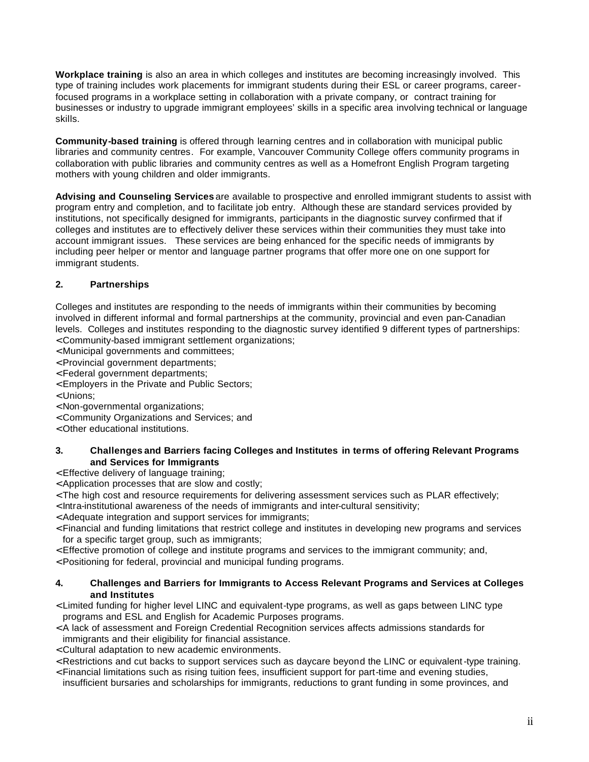**Workplace training** is also an area in which colleges and institutes are becoming increasingly involved. This type of training includes work placements for immigrant students during their ESL or career programs, careerfocused programs in a workplace setting in collaboration with a private company, or contract training for businesses or industry to upgrade immigrant employees' skills in a specific area involving technical or language skills.

**Community-based training** is offered through learning centres and in collaboration with municipal public libraries and community centres. For example, Vancouver Community College offers community programs in collaboration with public libraries and community centres as well as a Homefront English Program targeting mothers with young children and older immigrants.

**Advising and Counseling Services** are available to prospective and enrolled immigrant students to assist with program entry and completion, and to facilitate job entry. Although these are standard services provided by institutions, not specifically designed for immigrants, participants in the diagnostic survey confirmed that if colleges and institutes are to effectively deliver these services within their communities they must take into account immigrant issues. These services are being enhanced for the specific needs of immigrants by including peer helper or mentor and language partner programs that offer more one on one support for immigrant students.

#### **2. Partnerships**

Colleges and institutes are responding to the needs of immigrants within their communities by becoming involved in different informal and formal partnerships at the community, provincial and even pan-Canadian levels. Colleges and institutes responding to the diagnostic survey identified 9 different types of partnerships:

- < Community-based immigrant settlement organizations;
- < Municipal governments and committees;
- < Provincial government departments;
- < Federal government departments;
- < Employers in the Private and Public Sectors;
- < Unions;
- < Non-governmental organizations;
- < Community Organizations and Services; and
- < Other educational institutions.

#### **3. Challenges and Barriers facing Colleges and Institutes in terms of offering Relevant Programs and Services for Immigrants**

< Effective delivery of language training;

- < Application processes that are slow and costly;
- < The high cost and resource requirements for delivering assessment services such as PLAR effectively;
- < Intra-institutional awareness of the needs of immigrants and inter-cultural sensitivity;
- < Adequate integration and support services for immigrants;
- < Financial and funding limitations that restrict college and institutes in developing new programs and services for a specific target group, such as immigrants;
- < Effective promotion of college and institute programs and services to the immigrant community; and,
- < Positioning for federal, provincial and municipal funding programs.

#### **4. Challenges and Barriers for Immigrants to Access Relevant Programs and Services at Colleges and Institutes**

- < Limited funding for higher level LINC and equivalent-type programs, as well as gaps between LINC type programs and ESL and English for Academic Purposes programs.
- < A lack of assessment and Foreign Credential Recognition services affects admissions standards for immigrants and their eligibility for financial assistance.
- < Cultural adaptation to new academic environments.
- < Restrictions and cut backs to support services such as daycare beyond the LINC or equivalent -type training.
- < Financial limitations such as rising tuition fees, insufficient support for part-time and evening studies, insufficient bursaries and scholarships for immigrants, reductions to grant funding in some provinces, and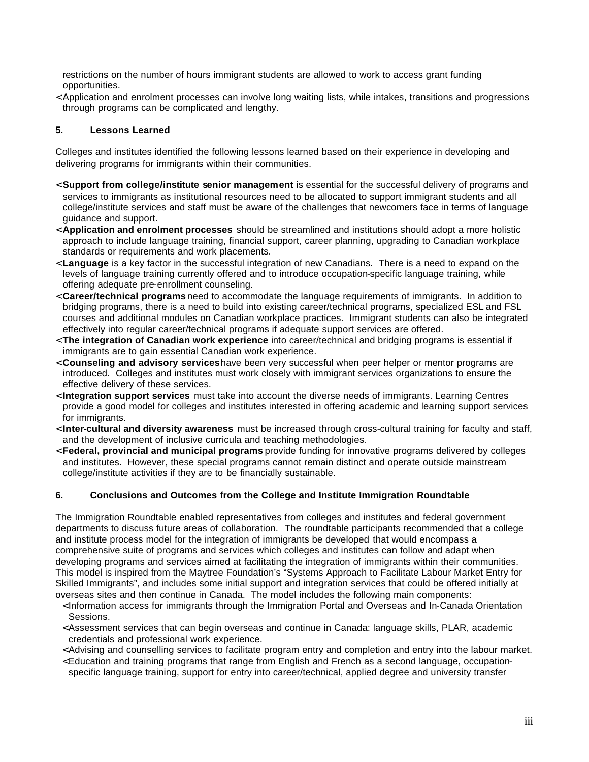restrictions on the number of hours immigrant students are allowed to work to access grant funding opportunities.

< Application and enrolment processes can involve long waiting lists, while intakes, transitions and progressions through programs can be complicated and lengthy.

#### **5. Lessons Learned**

Colleges and institutes identified the following lessons learned based on their experience in developing and delivering programs for immigrants within their communities.

- < **Support from college/institute senior management** is essential for the successful delivery of programs and services to immigrants as institutional resources need to be allocated to support immigrant students and all college/institute services and staff must be aware of the challenges that newcomers face in terms of language guidance and support.
- < **Application and enrolment processes** should be streamlined and institutions should adopt a more holistic approach to include language training, financial support, career planning, upgrading to Canadian workplace standards or requirements and work placements.
- < **Language** is a key factor in the successful integration of new Canadians. There is a need to expand on the levels of language training currently offered and to introduce occupation-specific language training, while offering adequate pre-enrollment counseling.
- < **Career/technical programs** need to accommodate the language requirements of immigrants. In addition to bridging programs, there is a need to build into existing career/technical programs, specialized ESL and FSL courses and additional modules on Canadian workplace practices. Immigrant students can also be integrated effectively into regular career/technical programs if adequate support services are offered.
- < **The integration of Canadian work experience** into career/technical and bridging programs is essential if immigrants are to gain essential Canadian work experience.
- < **Counseling and advisory services**have been very successful when peer helper or mentor programs are introduced. Colleges and institutes must work closely with immigrant services organizations to ensure the effective delivery of these services.
- < **Integration support services** must take into account the diverse needs of immigrants. Learning Centres provide a good model for colleges and institutes interested in offering academic and learning support services for immigrants.
- < **Inter-cultural and diversity awareness** must be increased through cross-cultural training for faculty and staff, and the development of inclusive curricula and teaching methodologies.
- < **Federal, provincial and municipal programs** provide funding for innovative programs delivered by colleges and institutes. However, these special programs cannot remain distinct and operate outside mainstream college/institute activities if they are to be financially sustainable.

#### **6. Conclusions and Outcomes from the College and Institute Immigration Roundtable**

The Immigration Roundtable enabled representatives from colleges and institutes and federal government departments to discuss future areas of collaboration. The roundtable participants recommended that a college and institute process model for the integration of immigrants be developed that would encompass a comprehensive suite of programs and services which colleges and institutes can follow and adapt when developing programs and services aimed at facilitating the integration of immigrants within their communities. This model is inspired from the Maytree Foundation's "Systems Approach to Facilitate Labour Market Entry for Skilled Immigrants", and includes some initial support and integration services that could be offered initially at overseas sites and then continue in Canada. The model includes the following main components:

- < Information access for immigrants through the Immigration Portal and Overseas and In-Canada Orientation Sessions.
- < Assessment services that can begin overseas and continue in Canada: language skills, PLAR, academic credentials and professional work experience.
- < Advising and counselling services to facilitate program entry and completion and entry into the labour market.
- < Education and training programs that range from English and French as a second language, occupationspecific language training, support for entry into career/technical, applied degree and university transfer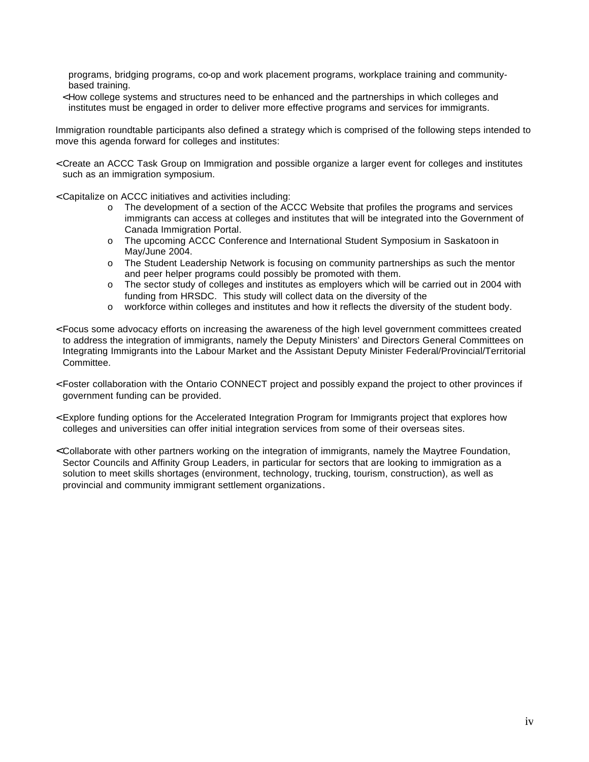programs, bridging programs, co-op and work placement programs, workplace training and communitybased training.

< How college systems and structures need to be enhanced and the partnerships in which colleges and institutes must be engaged in order to deliver more effective programs and services for immigrants.

Immigration roundtable participants also defined a strategy which is comprised of the following steps intended to move this agenda forward for colleges and institutes:

- < Create an ACCC Task Group on Immigration and possible organize a larger event for colleges and institutes such as an immigration symposium.
- < Capitalize on ACCC initiatives and activities including:
	- o The development of a section of the ACCC Website that profiles the programs and services immigrants can access at colleges and institutes that will be integrated into the Government of Canada Immigration Portal.
	- o The upcoming ACCC Conference and International Student Symposium in Saskatoon in May/June 2004.
	- o The Student Leadership Network is focusing on community partnerships as such the mentor and peer helper programs could possibly be promoted with them.
	- o The sector study of colleges and institutes as employers which will be carried out in 2004 with funding from HRSDC. This study will collect data on the diversity of the
	- o workforce within colleges and institutes and how it reflects the diversity of the student body.
- < Focus some advocacy efforts on increasing the awareness of the high level government committees created to address the integration of immigrants, namely the Deputy Ministers' and Directors General Committees on Integrating Immigrants into the Labour Market and the Assistant Deputy Minister Federal/Provincial/Territorial Committee.
- < Foster collaboration with the Ontario CONNECT project and possibly expand the project to other provinces if government funding can be provided.
- < Explore funding options for the Accelerated Integration Program for Immigrants project that explores how colleges and universities can offer initial integration services from some of their overseas sites.
- < Collaborate with other partners working on the integration of immigrants, namely the Maytree Foundation, Sector Councils and Affinity Group Leaders, in particular for sectors that are looking to immigration as a solution to meet skills shortages (environment, technology, trucking, tourism, construction), as well as provincial and community immigrant settlement organizations.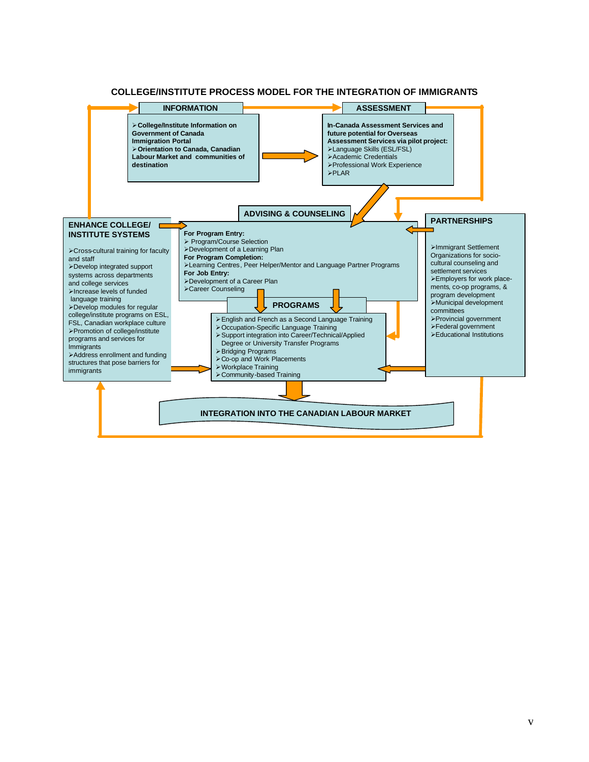#### **COLLEGE/INSTITUTE PROCESS MODEL FOR THE INTEGRATION OF IMMIGRANTS**

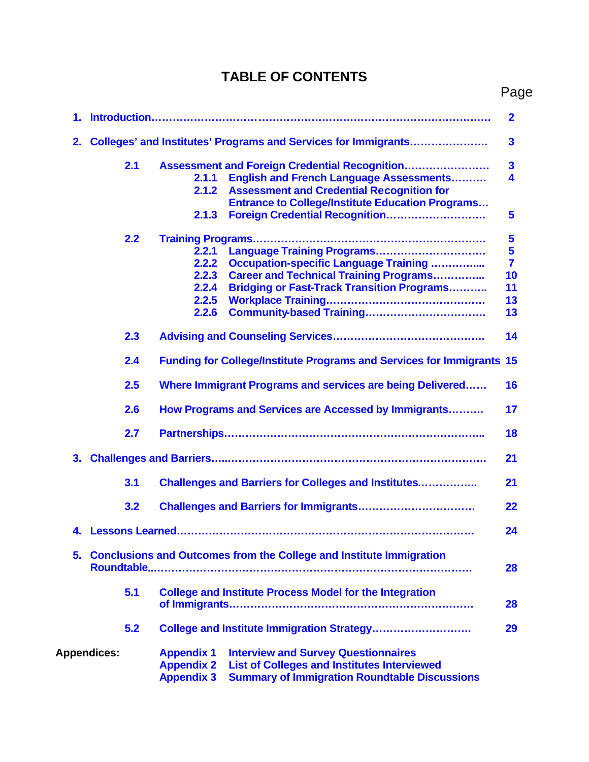#### **TABLE OF CONTENTS**

| ۰,<br>٠ |
|---------|
|---------|

|    |                    |     |                                                             |                                                                                                                                                          | $\mathbf{2}$            |
|----|--------------------|-----|-------------------------------------------------------------|----------------------------------------------------------------------------------------------------------------------------------------------------------|-------------------------|
| 2. |                    |     |                                                             | Colleges' and Institutes' Programs and Services for Immigrants                                                                                           | $\mathbf{3}$            |
|    |                    | 2.1 |                                                             | Assessment and Foreign Credential Recognition                                                                                                            | $\mathbf{3}$            |
|    |                    |     | 2.1.1                                                       | <b>English and French Language Assessments</b>                                                                                                           | $\overline{\mathbf{4}}$ |
|    |                    |     | 2.1.2                                                       | <b>Assessment and Credential Recognition for</b>                                                                                                         |                         |
|    |                    |     |                                                             | <b>Entrance to College/Institute Education Programs</b>                                                                                                  |                         |
|    |                    |     | 2.1.3                                                       | Foreign Credential Recognition                                                                                                                           | 5                       |
|    |                    | 2.2 |                                                             |                                                                                                                                                          | $\overline{\mathbf{5}}$ |
|    |                    |     | 2.2.1                                                       | Language Training Programs                                                                                                                               | $5\phantom{1}$          |
|    |                    |     | 2.2.2                                                       | <b>Occupation-specific Language Training </b>                                                                                                            | $\overline{7}$          |
|    |                    |     | 2.2.3                                                       | <b>Career and Technical Training Programs</b>                                                                                                            | 10                      |
|    |                    |     | 2.2.4                                                       | <b>Bridging or Fast-Track Transition Programs</b>                                                                                                        | 11                      |
|    |                    |     | 2.2.5                                                       |                                                                                                                                                          | 13                      |
|    |                    |     | 2.2.6                                                       |                                                                                                                                                          | 13                      |
|    |                    |     |                                                             |                                                                                                                                                          |                         |
|    |                    | 2.3 |                                                             |                                                                                                                                                          | 14                      |
|    |                    | 2.4 |                                                             | <b>Funding for College/Institute Programs and Services for Immigrants 15</b>                                                                             |                         |
|    |                    | 2.5 |                                                             | Where Immigrant Programs and services are being Delivered                                                                                                | 16                      |
|    |                    | 2.6 |                                                             | How Programs and Services are Accessed by Immigrants                                                                                                     | 17                      |
|    |                    | 2.7 |                                                             |                                                                                                                                                          | 18                      |
| 3. |                    |     |                                                             |                                                                                                                                                          | 21                      |
|    |                    |     |                                                             |                                                                                                                                                          |                         |
|    |                    | 3.1 |                                                             | <b>Challenges and Barriers for Colleges and Institutes</b>                                                                                               | 21                      |
|    |                    | 3.2 |                                                             |                                                                                                                                                          | 22                      |
| 4. |                    |     |                                                             |                                                                                                                                                          | 24                      |
|    |                    |     |                                                             | 5. Conclusions and Outcomes from the College and Institute Immigration                                                                                   | 28                      |
|    |                    | 5.1 |                                                             | <b>College and Institute Process Model for the Integration</b>                                                                                           | 28                      |
|    |                    | 5.2 |                                                             | College and Institute Immigration Strategy                                                                                                               | 29                      |
|    | <b>Appendices:</b> |     | <b>Appendix 1</b><br><b>Appendix 2</b><br><b>Appendix 3</b> | <b>Interview and Survey Questionnaires</b><br><b>List of Colleges and Institutes Interviewed</b><br><b>Summary of Immigration Roundtable Discussions</b> |                         |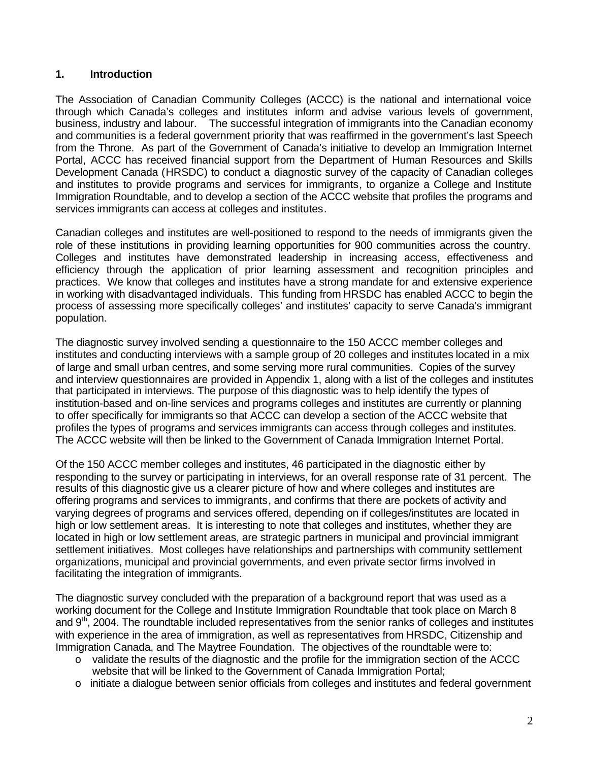#### <span id="page-8-0"></span>**1. Introduction**

The Association of Canadian Community Colleges (ACCC) is the national and international voice through which Canada's colleges and institutes inform and advise various levels of government, business, industry and labour. The successful integration of immigrants into the Canadian economy and communities is a federal government priority that was reaffirmed in the government's last Speech from the Throne. As part of the Government of Canada's initiative to develop an Immigration Internet Portal, ACCC has received financial support from the Department of Human Resources and Skills Development Canada (HRSDC) to conduct a diagnostic survey of the capacity of Canadian colleges and institutes to provide programs and services for immigrants, to organize a College and Institute Immigration Roundtable, and to develop a section of the ACCC website that profiles the programs and services immigrants can access at colleges and institutes.

Canadian colleges and institutes are well-positioned to respond to the needs of immigrants given the role of these institutions in providing learning opportunities for 900 communities across the country. Colleges and institutes have demonstrated leadership in increasing access, effectiveness and efficiency through the application of prior learning assessment and recognition principles and practices. We know that colleges and institutes have a strong mandate for and extensive experience in working with disadvantaged individuals. This funding from HRSDC has enabled ACCC to begin the process of assessing more specifically colleges' and institutes' capacity to serve Canada's immigrant population.

The diagnostic survey involved sending a questionnaire to the 150 ACCC member colleges and institutes and conducting interviews with a sample group of 20 colleges and institutes located in a mix of large and small urban centres, and some serving more rural communities. Copies of the survey and interview questionnaires are provided in Appendix 1, along with a list of the colleges and institutes that participated in interviews. The purpose of this diagnostic was to help identify the types of institution-based and on-line services and programs colleges and institutes are currently or planning to offer specifically for immigrants so that ACCC can develop a section of the ACCC website that profiles the types of programs and services immigrants can access through colleges and institutes. The ACCC website will then be linked to the Government of Canada Immigration Internet Portal.

Of the 150 ACCC member colleges and institutes, 46 participated in the diagnostic either by responding to the survey or participating in interviews, for an overall response rate of 31 percent. The results of this diagnostic give us a clearer picture of how and where colleges and institutes are offering programs and services to immigrants, and confirms that there are pockets of activity and varying degrees of programs and services offered, depending on if colleges/institutes are located in high or low settlement areas. It is interesting to note that colleges and institutes, whether they are located in high or low settlement areas, are strategic partners in municipal and provincial immigrant settlement initiatives. Most colleges have relationships and partnerships with community settlement organizations, municipal and provincial governments, and even private sector firms involved in facilitating the integration of immigrants.

The diagnostic survey concluded with the preparation of a background report that was used as a working document for the College and Institute Immigration Roundtable that took place on March 8 and 9<sup>th</sup>, 2004. The roundtable included representatives from the senior ranks of colleges and institutes with experience in the area of immigration, as well as representatives from HRSDC, Citizenship and Immigration Canada, and The Maytree Foundation. The objectives of the roundtable were to:

- o validate the results of the diagnostic and the profile for the immigration section of the ACCC website that will be linked to the Government of Canada Immigration Portal;
- $\circ$  initiate a dialogue between senior officials from colleges and institutes and federal government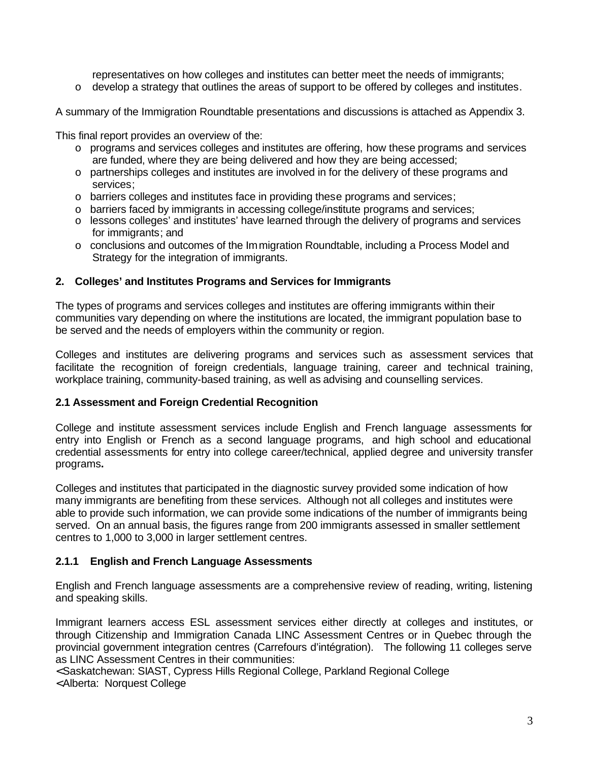representatives on how colleges and institutes can better meet the needs of immigrants;

<span id="page-9-0"></span> $\circ$  develop a strategy that outlines the areas of support to be offered by colleges and institutes.

A summary of the Immigration Roundtable presentations and discussions is attached as Appendix 3.

This final report provides an overview of the:

- o programs and services colleges and institutes are offering, how these programs and services are funded, where they are being delivered and how they are being accessed;
- o partnerships colleges and institutes are involved in for the delivery of these programs and services;
- o barriers colleges and institutes face in providing these programs and services;
- o barriers faced by immigrants in accessing college/institute programs and services;
- $\circ$  lessons colleges' and institutes' have learned through the delivery of programs and services for immigrants; and
- o conclusions and outcomes of the Im migration Roundtable, including a Process Model and Strategy for the integration of immigrants.

#### **2. Colleges' and Institutes Programs and Services for Immigrants**

The types of programs and services colleges and institutes are offering immigrants within their communities vary depending on where the institutions are located, the immigrant population base to be served and the needs of employers within the community or region.

Colleges and institutes are delivering programs and services such as assessment services that facilitate the recognition of foreign credentials, language training, career and technical training, workplace training, community-based training, as well as advising and counselling services.

#### **2.1 Assessment and Foreign Credential Recognition**

College and institute assessment services include English and French language assessments for entry into English or French as a second language programs, and high school and educational credential assessments for entry into college career/technical, applied degree and university transfer programs**.** 

Colleges and institutes that participated in the diagnostic survey provided some indication of how many immigrants are benefiting from these services. Although not all colleges and institutes were able to provide such information, we can provide some indications of the number of immigrants being served. On an annual basis, the figures range from 200 immigrants assessed in smaller settlement centres to 1,000 to 3,000 in larger settlement centres.

#### **2.1.1 English and French Language Assessments**

English and French language assessments are a comprehensive review of reading, writing, listening and speaking skills.

Immigrant learners access ESL assessment services either directly at colleges and institutes, or through Citizenship and Immigration Canada LINC Assessment Centres or in Quebec through the provincial government integration centres (Carrefours d'intégration). The following 11 colleges serve as LINC Assessment Centres in their communities:

< Saskatchewan: SIAST, Cypress Hills Regional College, Parkland Regional College

< Alberta: Norquest College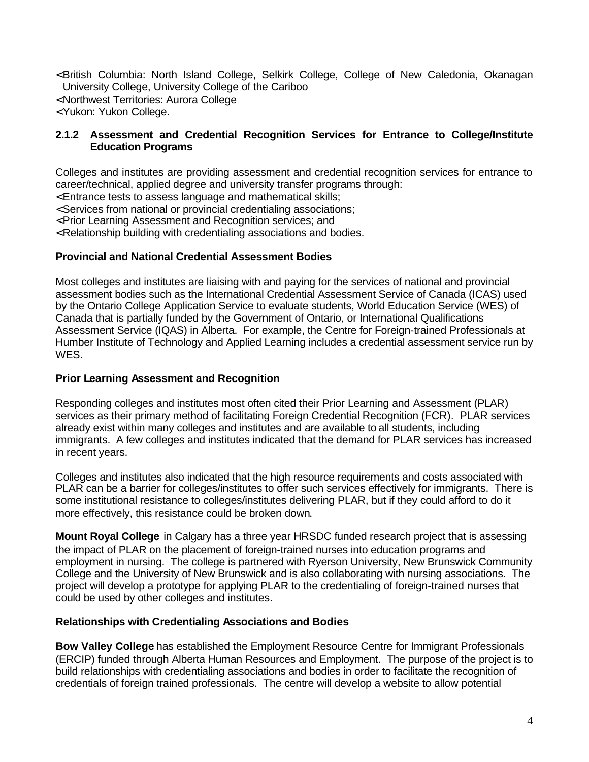- <span id="page-10-0"></span>< British Columbia: North Island College, Selkirk College, College of New Caledonia, Okanagan University College, University College of the Cariboo
- < Northwest Territories: Aurora College
- < Yukon: Yukon College.

#### **2.1.2 Assessment and Credential Recognition Services for Entrance to College/Institute Education Programs**

Colleges and institutes are providing assessment and credential recognition services for entrance to career/technical, applied degree and university transfer programs through:

< Entrance tests to assess language and mathematical skills;

< Services from national or provincial credentialing associations;

< Prior Learning Assessment and Recognition services; and

< Relationship building with credentialing associations and bodies.

#### **Provincial and National Credential Assessment Bodies**

Most colleges and institutes are liaising with and paying for the services of national and provincial assessment bodies such as the International Credential Assessment Service of Canada (ICAS) used by the Ontario College Application Service to evaluate students, World Education Service (WES) of Canada that is partially funded by the Government of Ontario, or International Qualifications Assessment Service (IQAS) in Alberta. For example, the Centre for Foreign-trained Professionals at Humber Institute of Technology and Applied Learning includes a credential assessment service run by WES.

#### **Prior Learning Assessment and Recognition**

Responding colleges and institutes most often cited their Prior Learning and Assessment (PLAR) services as their primary method of facilitating Foreign Credential Recognition (FCR). PLAR services already exist within many colleges and institutes and are available to all students, including immigrants. A few colleges and institutes indicated that the demand for PLAR services has increased in recent years.

Colleges and institutes also indicated that the high resource requirements and costs associated with PLAR can be a barrier for colleges/institutes to offer such services effectively for immigrants. There is some institutional resistance to colleges/institutes delivering PLAR, but if they could afford to do it more effectively, this resistance could be broken down.

**Mount Royal College** in Calgary has a three year HRSDC funded research project that is assessing the impact of PLAR on the placement of foreign-trained nurses into education programs and employment in nursing. The college is partnered with Ryerson University, New Brunswick Community College and the University of New Brunswick and is also collaborating with nursing associations. The project will develop a prototype for applying PLAR to the credentialing of foreign-trained nurses that could be used by other colleges and institutes.

#### **Relationships with Credentialing Associations and Bodies**

**Bow Valley College** has established the Employment Resource Centre for Immigrant Professionals (ERCIP) funded through Alberta Human Resources and Employment. The purpose of the project is to build relationships with credentialing associations and bodies in order to facilitate the recognition of credentials of foreign trained professionals. The centre will develop a website to allow potential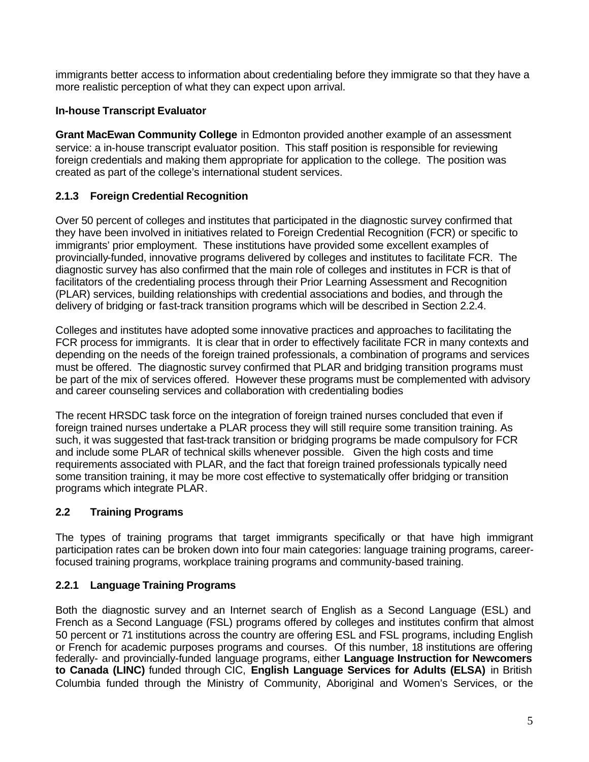<span id="page-11-0"></span>immigrants better access to information about credentialing before they immigrate so that they have a more realistic perception of what they can expect upon arrival.

#### **In-house Transcript Evaluator**

**Grant MacEwan Community College** in Edmonton provided another example of an assessment service: a in-house transcript evaluator position. This staff position is responsible for reviewing foreign credentials and making them appropriate for application to the college. The position was created as part of the college's international student services.

#### **2.1.3 Foreign Credential Recognition**

Over 50 percent of colleges and institutes that participated in the diagnostic survey confirmed that they have been involved in initiatives related to Foreign Credential Recognition (FCR) or specific to immigrants' prior employment. These institutions have provided some excellent examples of provincially-funded, innovative programs delivered by colleges and institutes to facilitate FCR. The diagnostic survey has also confirmed that the main role of colleges and institutes in FCR is that of facilitators of the credentialing process through their Prior Learning Assessment and Recognition (PLAR) services, building relationships with credential associations and bodies, and through the delivery of bridging or fast-track transition programs which will be described in Section 2.2.4.

Colleges and institutes have adopted some innovative practices and approaches to facilitating the FCR process for immigrants. It is clear that in order to effectively facilitate FCR in many contexts and depending on the needs of the foreign trained professionals, a combination of programs and services must be offered. The diagnostic survey confirmed that PLAR and bridging transition programs must be part of the mix of services offered. However these programs must be complemented with advisory and career counseling services and collaboration with credentialing bodies

The recent HRSDC task force on the integration of foreign trained nurses concluded that even if foreign trained nurses undertake a PLAR process they will still require some transition training. As such, it was suggested that fast-track transition or bridging programs be made compulsory for FCR and include some PLAR of technical skills whenever possible. Given the high costs and time requirements associated with PLAR, and the fact that foreign trained professionals typically need some transition training, it may be more cost effective to systematically offer bridging or transition programs which integrate PLAR.

#### **2.2 Training Programs**

The types of training programs that target immigrants specifically or that have high immigrant participation rates can be broken down into four main categories: language training programs, careerfocused training programs, workplace training programs and community-based training.

#### **2.2.1 Language Training Programs**

Both the diagnostic survey and an Internet search of English as a Second Language (ESL) and French as a Second Language (FSL) programs offered by colleges and institutes confirm that almost 50 percent or 71 institutions across the country are offering ESL and FSL programs, including English or French for academic purposes programs and courses. Of this number, 18 institutions are offering federally- and provincially-funded language programs, either **Language Instruction for Newcomers to Canada (LINC)** funded through CIC, **English Language Services for Adults (ELSA)** in British Columbia funded through the Ministry of Community, Aboriginal and Women's Services, or the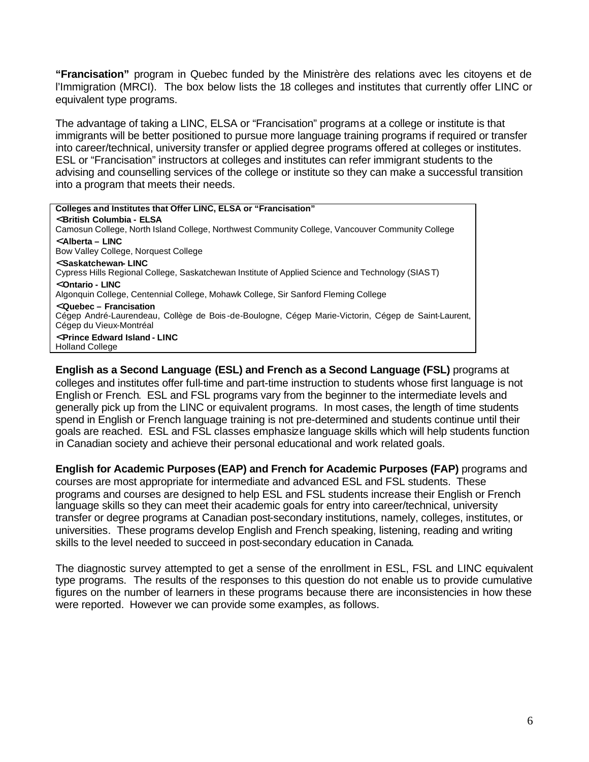**"Francisation"** program in Quebec funded by the Ministrère des relations avec les citoyens et de l'Immigration (MRCI). The box below lists the 18 colleges and institutes that currently offer LINC or equivalent type programs.

The advantage of taking a LINC, ELSA or "Francisation" programs at a college or institute is that immigrants will be better positioned to pursue more language training programs if required or transfer into career/technical, university transfer or applied degree programs offered at colleges or institutes. ESL or "Francisation" instructors at colleges and institutes can refer immigrant students to the advising and counselling services of the college or institute so they can make a successful transition into a program that meets their needs.

#### **Colleges and Institutes that Offer LINC, ELSA or "Francisation"**  < **British Columbia - ELSA**  Camosun College, North Island College, Northwest Community College, Vancouver Community College < **Alberta – LINC**  Bow Valley College, Norquest College < **Saskatchewan- LINC**  Cypress Hills Regional College, Saskatchewan Institute of Applied Science and Technology (SIAS T) < **Ontario - LINC**  Algonquin College, Centennial College, Mohawk College, Sir Sanford Fleming College < **Quebec – Francisation**  Cégep André-Laurendeau, Collège de Bois -de-Boulogne, Cégep Marie-Victorin, Cégep de Saint-Laurent, Cégep du Vieux-Montréal < **Prince Edward Island - LINC**  Holland College

**English as a Second Language (ESL) and French as a Second Language (FSL)** programs at colleges and institutes offer full-time and part-time instruction to students whose first language is not English or French. ESL and FSL programs vary from the beginner to the intermediate levels and generally pick up from the LINC or equivalent programs. In most cases, the length of time students spend in English or French language training is not pre-determined and students continue until their goals are reached. ESL and FSL classes emphasize language skills which will help students function in Canadian society and achieve their personal educational and work related goals.

**English for Academic Purposes (EAP) and French for Academic Purposes (FAP)** programs and courses are most appropriate for intermediate and advanced ESL and FSL students. These programs and courses are designed to help ESL and FSL students increase their English or French language skills so they can meet their academic goals for entry into career/technical, university transfer or degree programs at Canadian post-secondary institutions, namely, colleges, institutes, or universities. These programs develop English and French speaking, listening, reading and writing skills to the level needed to succeed in post-secondary education in Canada.

The diagnostic survey attempted to get a sense of the enrollment in ESL, FSL and LINC equivalent type programs. The results of the responses to this question do not enable us to provide cumulative figures on the number of learners in these programs because there are inconsistencies in how these were reported. However we can provide some examples, as follows.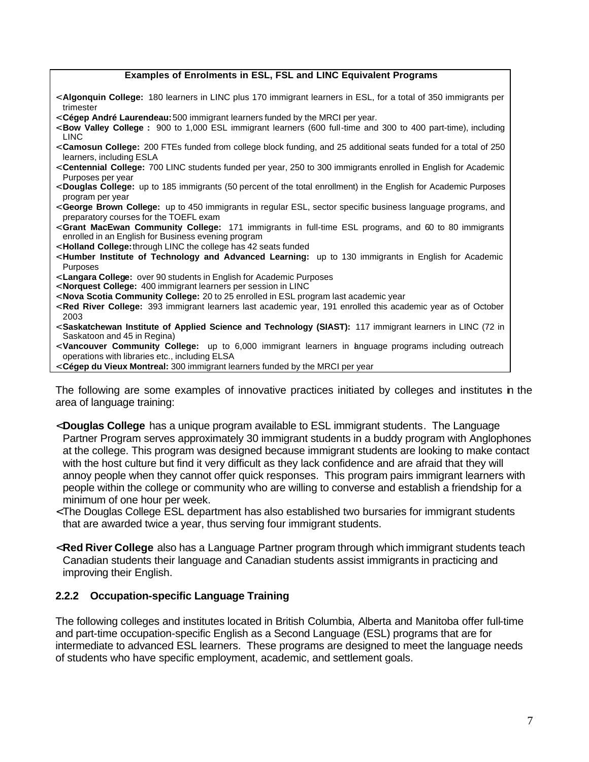#### **Examples of Enrolments in ESL, FSL and LINC Equivalent Programs**

- <span id="page-13-0"></span>< **Algonquin College:** 180 learners in LINC plus 170 immigrant learners in ESL, for a total of 350 immigrants per trimester
- < **Cégep André Laurendeau:** 500 immigrant learners funded by the MRCI per year.
- < **Bow Valley College :** 900 to 1,000 ESL immigrant learners (600 full-time and 300 to 400 part-time), including LINC
- < **Camosun College:** 200 FTEs funded from college block funding, and 25 additional seats funded for a total of 250 learners, including ESLA
- < **Centennial College:** 700 LINC students funded per year, 250 to 300 immigrants enrolled in English for Academic Purposes per year
- < **Douglas College:** up to 185 immigrants (50 percent of the total enrollment) in the English for Academic Purposes program per year
- < **George Brown College:** up to 450 immigrants in regular ESL, sector specific business language programs, and preparatory courses for the TOEFL exam
- < **Grant MacEwan Community College:** 171 immigrants in full-time ESL programs, and 60 to 80 immigrants enrolled in an English for Business evening program
- < **Holland College:**through LINC the college has 42 seats funded
- < **Humber Institute of Technology and Advanced Learning:** up to 130 immigrants in English for Academic Purposes
- < **Langara College:** over 90 students in English for Academic Purposes
- < **Norquest College:** 400 immigrant learners per session in LINC
- < **Nova Scotia Community College:** 20 to 25 enrolled in ESL program last academic year
- < **Red River College:** 393 immigrant learners last academic year, 191 enrolled this academic year as of October 2003
- < **Saskatchewan Institute of Applied Science and Technology (SIAST):** 117 immigrant learners in LINC (72 in Saskatoon and 45 in Regina)
- < **Vancouver Community College:** up to 6,000 immigrant learners in language programs including outreach operations with libraries etc., including ELSA
- < **Cégep du Vieux Montreal:** 300 immigrant learners funded by the MRCI per year

The following are some examples of innovative practices initiated by colleges and institutes in the area of language training:

- < **Douglas College** has a unique program available to ESL immigrant students. The Language Partner Program serves approximately 30 immigrant students in a buddy program with Anglophones at the college. This program was designed because immigrant students are looking to make contact with the host culture but find it very difficult as they lack confidence and are afraid that they will annoy people when they cannot offer quick responses. This program pairs immigrant learners with people within the college or community who are willing to converse and establish a friendship for a minimum of one hour per week.
- < The Douglas College ESL department has also established two bursaries for immigrant students that are awarded twice a year, thus serving four immigrant students.
- < **Red River College** also has a Language Partner program through which immigrant students teach Canadian students their language and Canadian students assist immigrants in practicing and improving their English.

#### **2.2.2 Occupation-specific Language Training**

The following colleges and institutes located in British Columbia, Alberta and Manitoba offer full-time and part-time occupation-specific English as a Second Language (ESL) programs that are for intermediate to advanced ESL learners. These programs are designed to meet the language needs of students who have specific employment, academic, and settlement goals.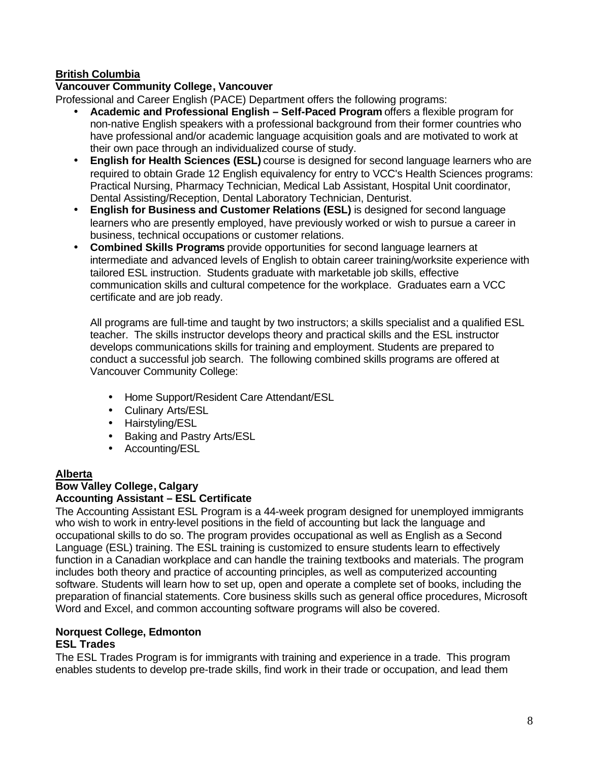#### **British Columbia**

#### **Vancouver Community College, Vancouver**

Professional and Career English (PACE) Department offers the following programs:

- **Academic and Professional English Self-Paced Program** offers a flexible program for non-native English speakers with a professional background from their former countries who have professional and/or academic language acquisition goals and are motivated to work at their own pace through an individualized course of study.
- **English for Health Sciences (ESL)** course is designed for second language learners who are required to obtain Grade 12 English equivalency for entry to VCC's Health Sciences programs: Practical Nursing, Pharmacy Technician, Medical Lab Assistant, Hospital Unit coordinator, Dental Assisting/Reception, Dental Laboratory Technician, Denturist.
- **English for Business and Customer Relations (ESL)** is designed for second language learners who are presently employed, have previously worked or wish to pursue a career in business, technical occupations or customer relations.
- **Combined Skills Programs** provide opportunities for second language learners at intermediate and advanced levels of English to obtain career training/worksite experience with tailored ESL instruction. Students graduate with marketable job skills, effective communication skills and cultural competence for the workplace. Graduates earn a VCC certificate and are job ready.

All programs are full-time and taught by two instructors; a skills specialist and a qualified ESL teacher. The skills instructor develops theory and practical skills and the ESL instructor develops communications skills for training and employment. Students are prepared to conduct a successful job search. The following combined skills programs are offered at Vancouver Community College:

- Home Support/Resident Care Attendant/ESL
- Culinary Arts/ESL
- Hairstyling/ESL
- Baking and Pastry Arts/ESL
- Accounting/ESL

#### **Alberta**

#### **Bow Valley College, Calgary Accounting Assistant – ESL Certificate**

The Accounting Assistant ESL Program is a 44-week program designed for unemployed immigrants who wish to work in entry-level positions in the field of accounting but lack the language and occupational skills to do so. The program provides occupational as well as English as a Second Language (ESL) training. The ESL training is customized to ensure students learn to effectively function in a Canadian workplace and can handle the training textbooks and materials. The program includes both theory and practice of accounting principles, as well as computerized accounting software. Students will learn how to set up, open and operate a complete set of books, including the preparation of financial statements. Core business skills such as general office procedures, Microsoft Word and Excel, and common accounting software programs will also be covered.

#### **Norquest College, Edmonton**

#### **ESL Trades**

The ESL Trades Program is for immigrants with training and experience in a trade. This program enables students to develop pre-trade skills, find work in their trade or occupation, and lead them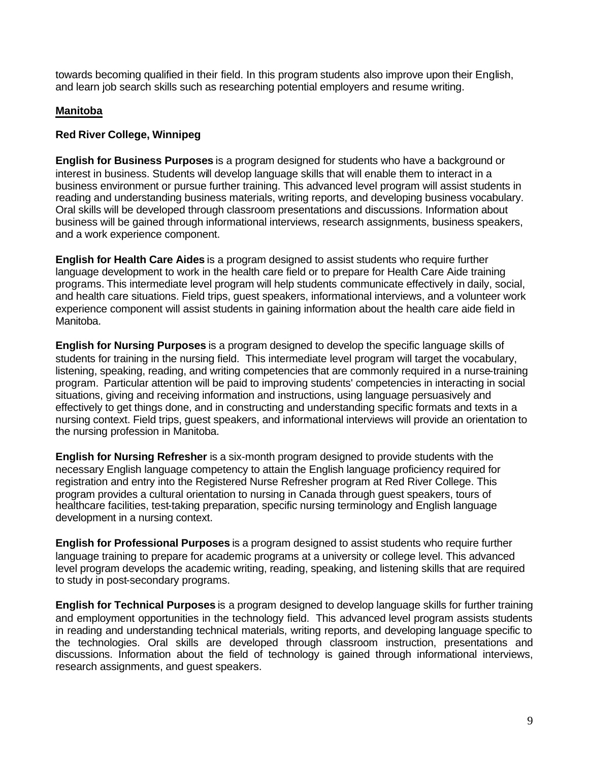towards becoming qualified in their field. In this program students also improve upon their English, and learn job search skills such as researching potential employers and resume writing.

#### **Manitoba**

#### **Red River College, Winnipeg**

**English for Business Purposes** is a program designed for students who have a background or interest in business. Students will develop language skills that will enable them to interact in a business environment or pursue further training. This advanced level program will assist students in reading and understanding business materials, writing reports, and developing business vocabulary. Oral skills will be developed through classroom presentations and discussions. Information about business will be gained through informational interviews, research assignments, business speakers, and a work experience component.

**English for Health Care Aides** is a program designed to assist students who require further language development to work in the health care field or to prepare for Health Care Aide training programs. This intermediate level program will help students communicate effectively in daily, social, and health care situations. Field trips, guest speakers, informational interviews, and a volunteer work experience component will assist students in gaining information about the health care aide field in Manitoba.

**English for Nursing Purposes** is a program designed to develop the specific language skills of students for training in the nursing field. This intermediate level program will target the vocabulary, listening, speaking, reading, and writing competencies that are commonly required in a nurse-training program. Particular attention will be paid to improving students' competencies in interacting in social situations, giving and receiving information and instructions, using language persuasively and effectively to get things done, and in constructing and understanding specific formats and texts in a nursing context. Field trips, guest speakers, and informational interviews will provide an orientation to the nursing profession in Manitoba.

**English for Nursing Refresher** is a six-month program designed to provide students with the necessary English language competency to attain the English language proficiency required for registration and entry into the Registered Nurse Refresher program at Red River College. This program provides a cultural orientation to nursing in Canada through guest speakers, tours of healthcare facilities, test-taking preparation, specific nursing terminology and English language development in a nursing context.

**English for Professional Purposes** is a program designed to assist students who require further language training to prepare for academic programs at a university or college level. This advanced level program develops the academic writing, reading, speaking, and listening skills that are required to study in post-secondary programs.

**English for Technical Purposes** is a program designed to develop language skills for further training and employment opportunities in the technology field. This advanced level program assists students in reading and understanding technical materials, writing reports, and developing language specific to the technologies. Oral skills are developed through classroom instruction, presentations and discussions. Information about the field of technology is gained through informational interviews, research assignments, and guest speakers.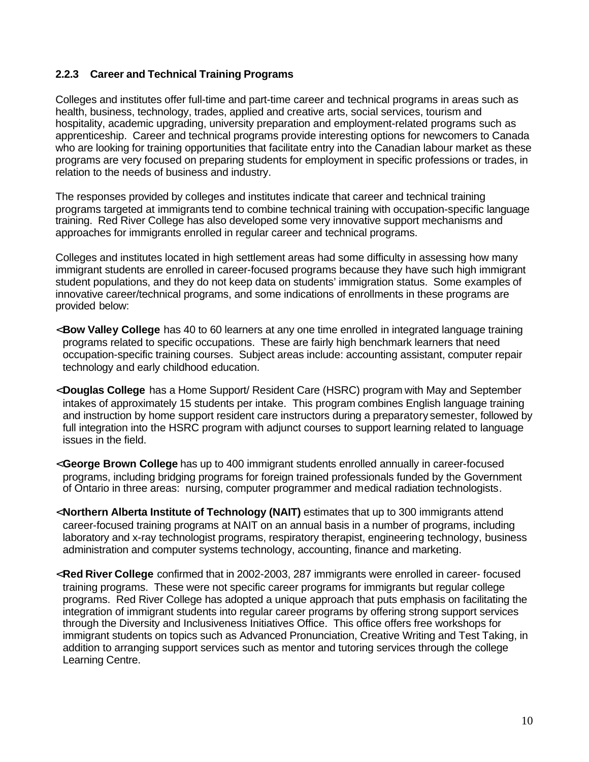#### <span id="page-16-0"></span>**2.2.3 Career and Technical Training Programs**

Colleges and institutes offer full-time and part-time career and technical programs in areas such as health, business, technology, trades, applied and creative arts, social services, tourism and hospitality, academic upgrading, university preparation and employment-related programs such as apprenticeship. Career and technical programs provide interesting options for newcomers to Canada who are looking for training opportunities that facilitate entry into the Canadian labour market as these programs are very focused on preparing students for employment in specific professions or trades, in relation to the needs of business and industry.

The responses provided by colleges and institutes indicate that career and technical training programs targeted at immigrants tend to combine technical training with occupation-specific language training. Red River College has also developed some very innovative support mechanisms and approaches for immigrants enrolled in regular career and technical programs.

Colleges and institutes located in high settlement areas had some difficulty in assessing how many immigrant students are enrolled in career-focused programs because they have such high immigrant student populations, and they do not keep data on students' immigration status. Some examples of innovative career/technical programs, and some indications of enrollments in these programs are provided below:

- < **Bow Valley College** has 40 to 60 learners at any one time enrolled in integrated language training programs related to specific occupations. These are fairly high benchmark learners that need occupation-specific training courses. Subject areas include: accounting assistant, computer repair technology and early childhood education.
- < **Douglas College** has a Home Support/ Resident Care (HSRC) program with May and September intakes of approximately 15 students per intake. This program combines English language training and instruction by home support resident care instructors during a preparatory semester, followed by full integration into the HSRC program with adjunct courses to support learning related to language issues in the field.
- < **George Brown College** has up to 400 immigrant students enrolled annually in career-focused programs, including bridging programs for foreign trained professionals funded by the Government of Ontario in three areas: nursing, computer programmer and medical radiation technologists.
- < **Northern Alberta Institute of Technology (NAIT)** estimates that up to 300 immigrants attend career-focused training programs at NAIT on an annual basis in a number of programs, including laboratory and x-ray technologist programs, respiratory therapist, engineering technology, business administration and computer systems technology, accounting, finance and marketing.
- < **Red River College** confirmed that in 2002-2003, 287 immigrants were enrolled in career- focused training programs. These were not specific career programs for immigrants but regular college programs. Red River College has adopted a unique approach that puts emphasis on facilitating the integration of immigrant students into regular career programs by offering strong support services through the Diversity and Inclusiveness Initiatives Office. This office offers free workshops for immigrant students on topics such as Advanced Pronunciation, Creative Writing and Test Taking, in addition to arranging support services such as mentor and tutoring services through the college Learning Centre.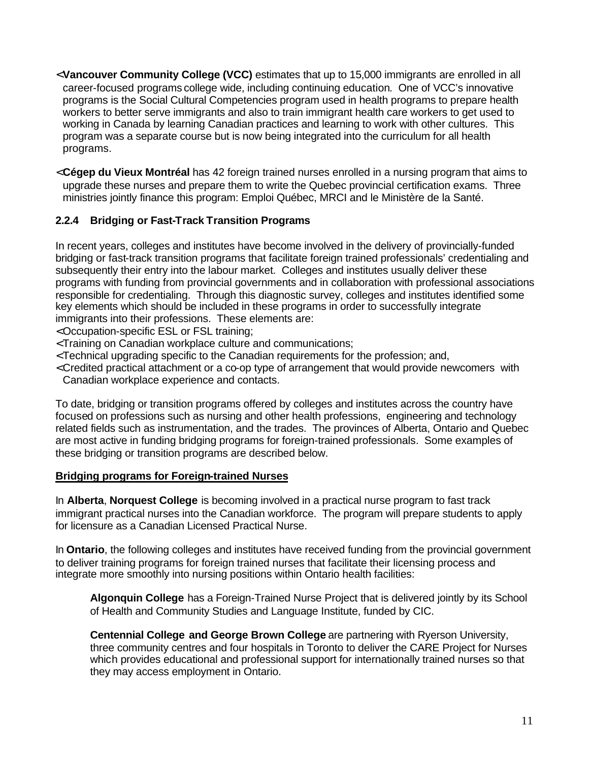- <span id="page-17-0"></span><**Vancouver Community College (VCC)** estimates that up to 15,000 immigrants are enrolled in all career-focused programs college wide, including continuing education. One of VCC's innovative programs is the Social Cultural Competencies program used in health programs to prepare health workers to better serve immigrants and also to train immigrant health care workers to get used to working in Canada by learning Canadian practices and learning to work with other cultures. This program was a separate course but is now being integrated into the curriculum for all health programs.
- < **Cégep du Vieux Montréal** has 42 foreign trained nurses enrolled in a nursing program that aims to upgrade these nurses and prepare them to write the Quebec provincial certification exams. Three ministries jointly finance this program: Emploi Québec, MRCI and le Ministère de la Santé.

#### **2.2.4 Bridging or Fast-Track Transition Programs**

In recent years, colleges and institutes have become involved in the delivery of provincially-funded bridging or fast-track transition programs that facilitate foreign trained professionals' credentialing and subsequently their entry into the labour market. Colleges and institutes usually deliver these programs with funding from provincial governments and in collaboration with professional associations responsible for credentialing. Through this diagnostic survey, colleges and institutes identified some key elements which should be included in these programs in order to successfully integrate immigrants into their professions. These elements are:

- < Occupation-specific ESL or FSL training;
- < Training on Canadian workplace culture and communications;
- < Technical upgrading specific to the Canadian requirements for the profession; and,
- < Credited practical attachment or a co-op type of arrangement that would provide newcomers with Canadian workplace experience and contacts.

To date, bridging or transition programs offered by colleges and institutes across the country have focused on professions such as nursing and other health professions, engineering and technology related fields such as instrumentation, and the trades. The provinces of Alberta, Ontario and Quebec are most active in funding bridging programs for foreign-trained professionals. Some examples of these bridging or transition programs are described below.

#### **Bridging programs for Foreign-trained Nurses**

In **Alberta**, **Norquest College** is becoming involved in a practical nurse program to fast track immigrant practical nurses into the Canadian workforce. The program will prepare students to apply for licensure as a Canadian Licensed Practical Nurse.

In **Ontario**, the following colleges and institutes have received funding from the provincial government to deliver training programs for foreign trained nurses that facilitate their licensing process and integrate more smoothly into nursing positions within Ontario health facilities:

**Algonquin College** has a Foreign-Trained Nurse Project that is delivered jointly by its School of Health and Community Studies and Language Institute, funded by CIC.

**Centennial College and George Brown College** are partnering with Ryerson University, three community centres and four hospitals in Toronto to deliver the CARE Project for Nurses which provides educational and professional support for internationally trained nurses so that they may access employment in Ontario.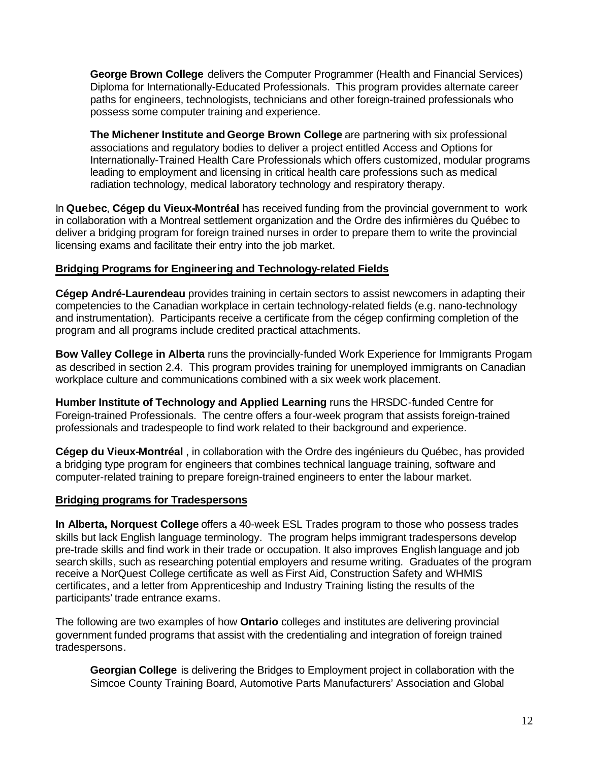**George Brown College** delivers the Computer Programmer (Health and Financial Services) Diploma for Internationally-Educated Professionals. This program provides alternate career paths for engineers, technologists, technicians and other foreign-trained professionals who possess some computer training and experience.

**The Michener Institute and George Brown College** are partnering with six professional associations and regulatory bodies to deliver a project entitled Access and Options for Internationally-Trained Health Care Professionals which offers customized, modular programs leading to employment and licensing in critical health care professions such as medical radiation technology, medical laboratory technology and respiratory therapy.

In **Quebec**, **Cégep du Vieux-Montréal** has received funding from the provincial government to work in collaboration with a Montreal settlement organization and the Ordre des infirmières du Québec to deliver a bridging program for foreign trained nurses in order to prepare them to write the provincial licensing exams and facilitate their entry into the job market.

#### **Bridging Programs for Engineering and Technology-related Fields**

**Cégep André-Laurendeau** provides training in certain sectors to assist newcomers in adapting their competencies to the Canadian workplace in certain technology-related fields (e.g. nano-technology and instrumentation). Participants receive a certificate from the cégep confirming completion of the program and all programs include credited practical attachments.

**Bow Valley College in Alberta** runs the provincially-funded Work Experience for Immigrants Progam as described in section 2.4. This program provides training for unemployed immigrants on Canadian workplace culture and communications combined with a six week work placement.

**Humber Institute of Technology and Applied Learning** runs the HRSDC-funded Centre for Foreign-trained Professionals. The centre offers a four-week program that assists foreign-trained professionals and tradespeople to find work related to their background and experience.

**Cégep du Vieux-Montréal** , in collaboration with the Ordre des ingénieurs du Québec, has provided a bridging type program for engineers that combines technical language training, software and computer-related training to prepare foreign-trained engineers to enter the labour market.

#### **Bridging programs for Tradespersons**

**In Alberta, Norquest College** offers a 40-week ESL Trades program to those who possess trades skills but lack English language terminology. The program helps immigrant tradespersons develop pre-trade skills and find work in their trade or occupation. It also improves English language and job search skills, such as researching potential employers and resume writing. Graduates of the program receive a NorQuest College certificate as well as First Aid, Construction Safety and WHMIS certificates, and a letter from Apprenticeship and Industry Training listing the results of the participants' trade entrance exams.

The following are two examples of how **Ontario** colleges and institutes are delivering provincial government funded programs that assist with the credentialing and integration of foreign trained tradespersons.

**Georgian College** is delivering the Bridges to Employment project in collaboration with the Simcoe County Training Board, Automotive Parts Manufacturers' Association and Global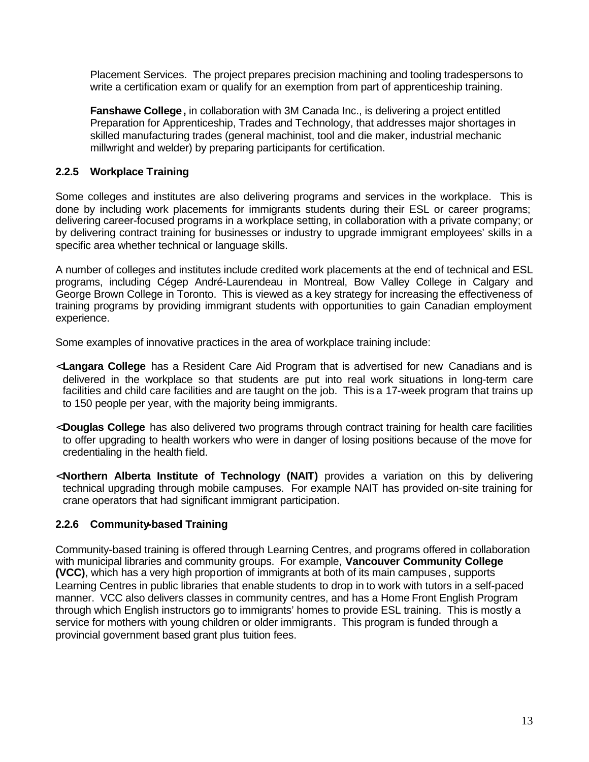<span id="page-19-0"></span>Placement Services. The project prepares precision machining and tooling tradespersons to write a certification exam or qualify for an exemption from part of apprenticeship training.

**Fanshawe College,** in collaboration with 3M Canada Inc., is delivering a project entitled Preparation for Apprenticeship, Trades and Technology, that addresses major shortages in skilled manufacturing trades (general machinist, tool and die maker, industrial mechanic millwright and welder) by preparing participants for certification.

#### **2.2.5 Workplace Training**

Some colleges and institutes are also delivering programs and services in the workplace. This is done by including work placements for immigrants students during their ESL or career programs; delivering career-focused programs in a workplace setting, in collaboration with a private company; or by delivering contract training for businesses or industry to upgrade immigrant employees' skills in a specific area whether technical or language skills.

A number of colleges and institutes include credited work placements at the end of technical and ESL programs, including Cégep André-Laurendeau in Montreal, Bow Valley College in Calgary and George Brown College in Toronto. This is viewed as a key strategy for increasing the effectiveness of training programs by providing immigrant students with opportunities to gain Canadian employment experience.

Some examples of innovative practices in the area of workplace training include:

- < **Langara College** has a Resident Care Aid Program that is advertised for new Canadians and is delivered in the workplace so that students are put into real work situations in long-term care facilities and child care facilities and are taught on the job. This is a 17-week program that trains up to 150 people per year, with the majority being immigrants.
- < **Douglas College** has also delivered two programs through contract training for health care facilities to offer upgrading to health workers who were in danger of losing positions because of the move for credentialing in the health field.
- < **Northern Alberta Institute of Technology (NAIT)** provides a variation on this by delivering technical upgrading through mobile campuses. For example NAIT has provided on-site training for crane operators that had significant immigrant participation.

#### **2.2.6 Community-based Training**

Community-based training is offered through Learning Centres, and programs offered in collaboration with municipal libraries and community groups. For example, **Vancouver Community College (VCC)**, which has a very high proportion of immigrants at both of its main campuses , supports Learning Centres in public libraries that enable students to drop in to work with tutors in a self-paced manner. VCC also delivers classes in community centres, and has a Home Front English Program through which English instructors go to immigrants' homes to provide ESL training. This is mostly a service for mothers with young children or older immigrants. This program is funded through a provincial government based grant plus tuition fees.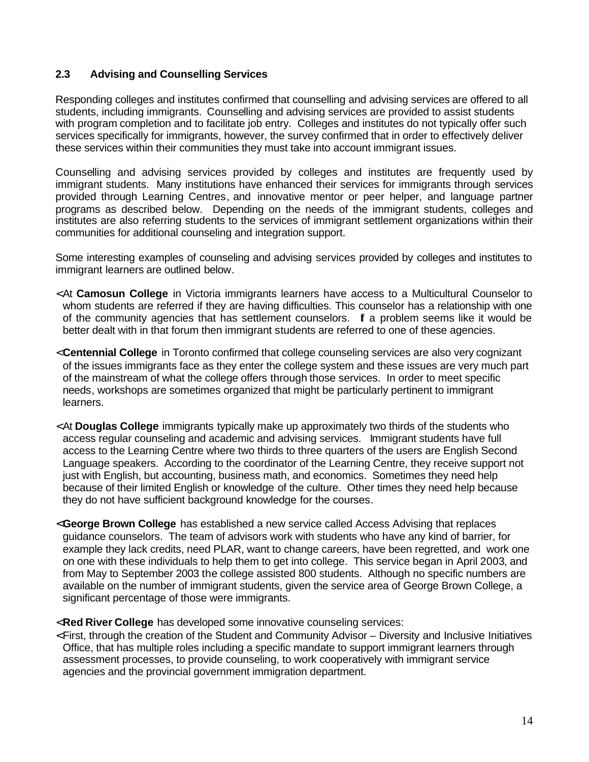#### <span id="page-20-0"></span>**2.3 Advising and Counselling Services**

Responding colleges and institutes confirmed that counselling and advising services are offered to all students, including immigrants. Counselling and advising services are provided to assist students with program completion and to facilitate job entry. Colleges and institutes do not typically offer such services specifically for immigrants, however, the survey confirmed that in order to effectively deliver these services within their communities they must take into account immigrant issues.

Counselling and advising services provided by colleges and institutes are frequently used by immigrant students. Many institutions have enhanced their services for immigrants through services provided through Learning Centres, and innovative mentor or peer helper, and language partner programs as described below. Depending on the needs of the immigrant students, colleges and institutes are also referring students to the services of immigrant settlement organizations within their communities for additional counseling and integration support.

Some interesting examples of counseling and advising services provided by colleges and institutes to immigrant learners are outlined below.

- < At **Camosun College** in Victoria immigrants learners have access to a Multicultural Counselor to whom students are referred if they are having difficulties. This counselor has a relationship with one of the community agencies that has settlement counselors. If a problem seems like it would be better dealt with in that forum then immigrant students are referred to one of these agencies.
- < **Centennial College** in Toronto confirmed that college counseling services are also very cognizant of the issues immigrants face as they enter the college system and these issues are very much part of the mainstream of what the college offers through those services. In order to meet specific needs, workshops are sometimes organized that might be particularly pertinent to immigrant learners.
- < At **Douglas College** immigrants typically make up approximately two thirds of the students who access regular counseling and academic and advising services. Immigrant students have full access to the Learning Centre where two thirds to three quarters of the users are English Second Language speakers. According to the coordinator of the Learning Centre, they receive support not just with English, but accounting, business math, and economics. Sometimes they need help because of their limited English or knowledge of the culture. Other times they need help because they do not have sufficient background knowledge for the courses.
- <**George Brown College** has established a new service called Access Advising that replaces guidance counselors. The team of advisors work with students who have any kind of barrier, for example they lack credits, need PLAR, want to change careers, have been regretted, and work one on one with these individuals to help them to get into college. This service began in April 2003, and from May to September 2003 the college assisted 800 students. Although no specific numbers are available on the number of immigrant students, given the service area of George Brown College, a significant percentage of those were immigrants.
- < **Red River College** has developed some innovative counseling services:
- < First, through the creation of the Student and Community Advisor Diversity and Inclusive Initiatives Office, that has multiple roles including a specific mandate to support immigrant learners through assessment processes, to provide counseling, to work cooperatively with immigrant service agencies and the provincial government immigration department.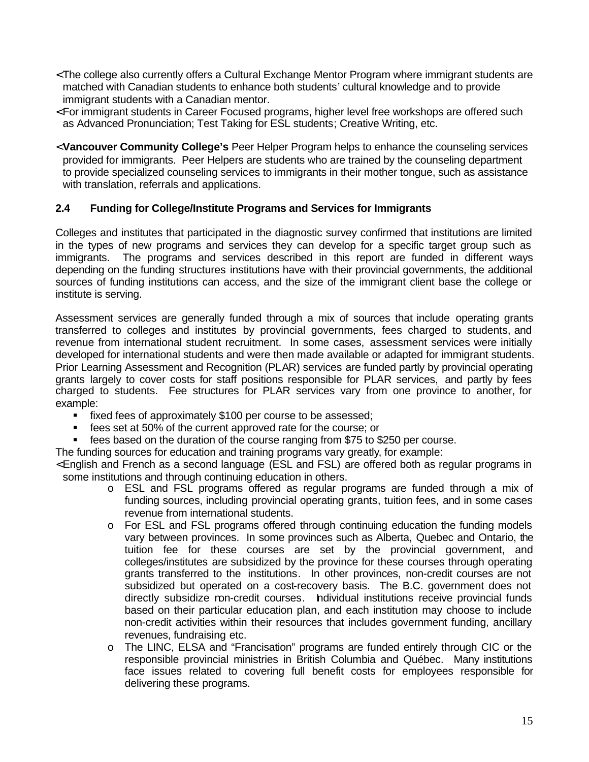- <span id="page-21-0"></span>< The college also currently offers a Cultural Exchange Mentor Program where immigrant students are matched with Canadian students to enhance both students' cultural knowledge and to provide immigrant students with a Canadian mentor.
- < For immigrant students in Career Focused programs, higher level free workshops are offered such as Advanced Pronunciation; Test Taking for ESL students; Creative Writing, etc.
- < **Vancouver Community College's** Peer Helper Program helps to enhance the counseling services provided for immigrants. Peer Helpers are students who are trained by the counseling department to provide specialized counseling services to immigrants in their mother tongue, such as assistance with translation, referrals and applications.

#### **2.4 Funding for College/Institute Programs and Services for Immigrants**

Colleges and institutes that participated in the diagnostic survey confirmed that institutions are limited in the types of new programs and services they can develop for a specific target group such as immigrants. The programs and services described in this report are funded in different ways depending on the funding structures institutions have with their provincial governments, the additional sources of funding institutions can access, and the size of the immigrant client base the college or institute is serving.

Assessment services are generally funded through a mix of sources that include operating grants transferred to colleges and institutes by provincial governments, fees charged to students, and revenue from international student recruitment. In some cases, assessment services were initially developed for international students and were then made available or adapted for immigrant students. Prior Learning Assessment and Recognition (PLAR) services are funded partly by provincial operating grants largely to cover costs for staff positions responsible for PLAR services, and partly by fees charged to students. Fee structures for PLAR services vary from one province to another, for example:

- fixed fees of approximately \$100 per course to be assessed;
- fees set at 50% of the current approved rate for the course; or
- fees based on the duration of the course ranging from \$75 to \$250 per course.
- The funding sources for education and training programs vary greatly, for example:

< English and French as a second language (ESL and FSL) are offered both as regular programs in some institutions and through continuing education in others.

- o ESL and FSL programs offered as regular programs are funded through a mix of funding sources, including provincial operating grants, tuition fees, and in some cases revenue from international students.
- o For ESL and FSL programs offered through continuing education the funding models vary between provinces. In some provinces such as Alberta, Quebec and Ontario, the tuition fee for these courses are set by the provincial government, and colleges/institutes are subsidized by the province for these courses through operating grants transferred to the institutions. In other provinces, non-credit courses are not subsidized but operated on a cost-recovery basis. The B.C. government does not directly subsidize non-credit courses. Individual institutions receive provincial funds based on their particular education plan, and each institution may choose to include non-credit activities within their resources that includes government funding, ancillary revenues, fundraising etc.
- o The LINC, ELSA and "Francisation" programs are funded entirely through CIC or the responsible provincial ministries in British Columbia and Québec. Many institutions face issues related to covering full benefit costs for employees responsible for delivering these programs.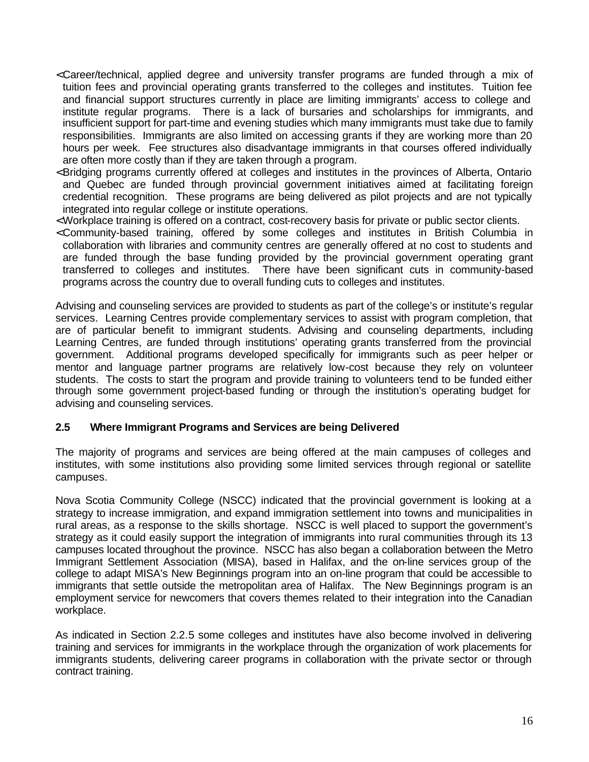- <span id="page-22-0"></span>< Career/technical, applied degree and university transfer programs are funded through a mix of tuition fees and provincial operating grants transferred to the colleges and institutes. Tuition fee and financial support structures currently in place are limiting immigrants' access to college and institute regular programs. There is a lack of bursaries and scholarships for immigrants, and insufficient support for part-time and evening studies which many immigrants must take due to family responsibilities. Immigrants are also limited on accessing grants if they are working more than 20 hours per week. Fee structures also disadvantage immigrants in that courses offered individually are often more costly than if they are taken through a program.
- < Bridging programs currently offered at colleges and institutes in the provinces of Alberta, Ontario and Quebec are funded through provincial government initiatives aimed at facilitating foreign credential recognition. These programs are being delivered as pilot projects and are not typically integrated into regular college or institute operations.
- < Workplace training is offered on a contract, cost-recovery basis for private or public sector clients.
- < Community-based training, offered by some colleges and institutes in British Columbia in collaboration with libraries and community centres are generally offered at no cost to students and are funded through the base funding provided by the provincial government operating grant transferred to colleges and institutes. There have been significant cuts in community-based programs across the country due to overall funding cuts to colleges and institutes.

Advising and counseling services are provided to students as part of the college's or institute's regular services. Learning Centres provide complementary services to assist with program completion, that are of particular benefit to immigrant students. Advising and counseling departments, including Learning Centres, are funded through institutions' operating grants transferred from the provincial government. Additional programs developed specifically for immigrants such as peer helper or mentor and language partner programs are relatively low-cost because they rely on volunteer students. The costs to start the program and provide training to volunteers tend to be funded either through some government project-based funding or through the institution's operating budget for advising and counseling services.

#### **2.5 Where Immigrant Programs and Services are being Delivered**

The majority of programs and services are being offered at the main campuses of colleges and institutes, with some institutions also providing some limited services through regional or satellite campuses.

Nova Scotia Community College (NSCC) indicated that the provincial government is looking at a strategy to increase immigration, and expand immigration settlement into towns and municipalities in rural areas, as a response to the skills shortage. NSCC is well placed to support the government's strategy as it could easily support the integration of immigrants into rural communities through its 13 campuses located throughout the province. NSCC has also began a collaboration between the Metro Immigrant Settlement Association (MISA), based in Halifax, and the on-line services group of the college to adapt MISA's New Beginnings program into an on-line program that could be accessible to immigrants that settle outside the metropolitan area of Halifax. The New Beginnings program is an employment service for newcomers that covers themes related to their integration into the Canadian workplace.

As indicated in Section 2.2.5 some colleges and institutes have also become involved in delivering training and services for immigrants in the workplace through the organization of work placements for immigrants students, delivering career programs in collaboration with the private sector or through contract training.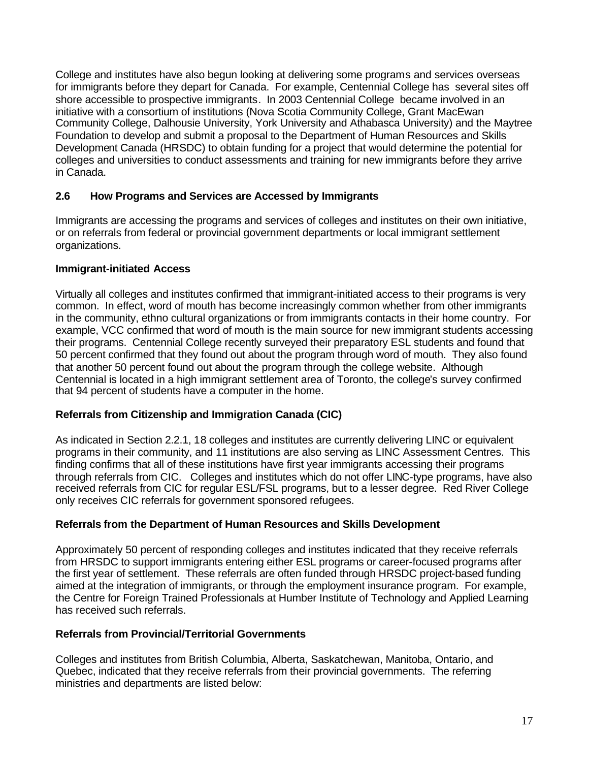<span id="page-23-0"></span>College and institutes have also begun looking at delivering some programs and services overseas for immigrants before they depart for Canada. For example, Centennial College has several sites off shore accessible to prospective immigrants. In 2003 Centennial College became involved in an initiative with a consortium of institutions (Nova Scotia Community College, Grant MacEwan Community College, Dalhousie University, York University and Athabasca University) and the Maytree Foundation to develop and submit a proposal to the Department of Human Resources and Skills Development Canada (HRSDC) to obtain funding for a project that would determine the potential for colleges and universities to conduct assessments and training for new immigrants before they arrive in Canada.

#### **2.6 How Programs and Services are Accessed by Immigrants**

Immigrants are accessing the programs and services of colleges and institutes on their own initiative, or on referrals from federal or provincial government departments or local immigrant settlement organizations.

#### **Immigrant-initiated Access**

Virtually all colleges and institutes confirmed that immigrant-initiated access to their programs is very common. In effect, word of mouth has become increasingly common whether from other immigrants in the community, ethno cultural organizations or from immigrants contacts in their home country. For example, VCC confirmed that word of mouth is the main source for new immigrant students accessing their programs. Centennial College recently surveyed their preparatory ESL students and found that 50 percent confirmed that they found out about the program through word of mouth. They also found that another 50 percent found out about the program through the college website. Although Centennial is located in a high immigrant settlement area of Toronto, the college's survey confirmed that 94 percent of students have a computer in the home.

#### **Referrals from Citizenship and Immigration Canada (CIC)**

As indicated in Section 2.2.1, 18 colleges and institutes are currently delivering LINC or equivalent programs in their community, and 11 institutions are also serving as LINC Assessment Centres. This finding confirms that all of these institutions have first year immigrants accessing their programs through referrals from CIC. Colleges and institutes which do not offer LINC-type programs, have also received referrals from CIC for regular ESL/FSL programs, but to a lesser degree. Red River College only receives CIC referrals for government sponsored refugees.

#### **Referrals from the Department of Human Resources and Skills Development**

Approximately 50 percent of responding colleges and institutes indicated that they receive referrals from HRSDC to support immigrants entering either ESL programs or career-focused programs after the first year of settlement. These referrals are often funded through HRSDC project-based funding aimed at the integration of immigrants, or through the employment insurance program. For example, the Centre for Foreign Trained Professionals at Humber Institute of Technology and Applied Learning has received such referrals.

#### **Referrals from Provincial/Territorial Governments**

Colleges and institutes from British Columbia, Alberta, Saskatchewan, Manitoba, Ontario, and Quebec, indicated that they receive referrals from their provincial governments. The referring ministries and departments are listed below: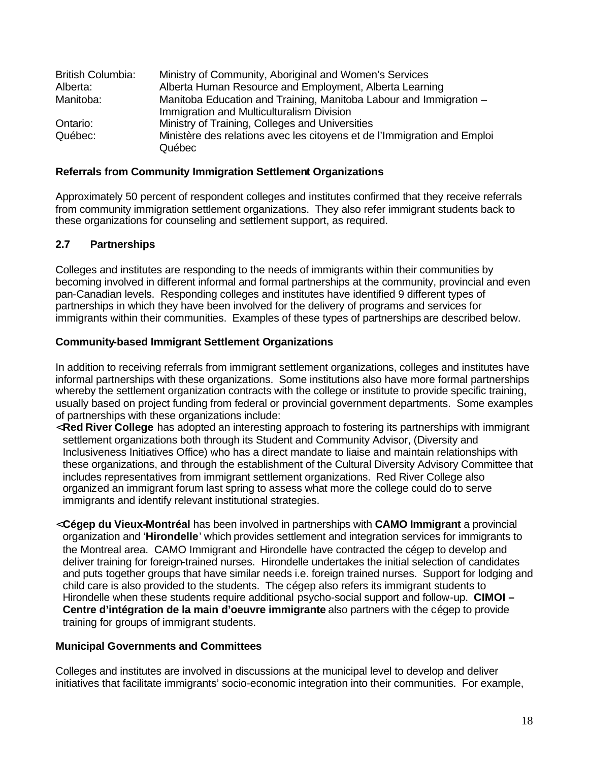<span id="page-24-0"></span>

| <b>British Columbia:</b> | Ministry of Community, Aboriginal and Women's Services                   |
|--------------------------|--------------------------------------------------------------------------|
| Alberta:                 | Alberta Human Resource and Employment, Alberta Learning                  |
| Manitoba:                | Manitoba Education and Training, Manitoba Labour and Immigration -       |
|                          | Immigration and Multiculturalism Division                                |
| Ontario:                 | Ministry of Training, Colleges and Universities                          |
| Québec:                  | Ministère des relations avec les citoyens et de l'Immigration and Emploi |
|                          | Québec                                                                   |

#### **Referrals from Community Immigration Settlement Organizations**

Approximately 50 percent of respondent colleges and institutes confirmed that they receive referrals from community immigration settlement organizations. They also refer immigrant students back to these organizations for counseling and settlement support, as required.

#### **2.7 Partnerships**

Colleges and institutes are responding to the needs of immigrants within their communities by becoming involved in different informal and formal partnerships at the community, provincial and even pan-Canadian levels. Responding colleges and institutes have identified 9 different types of partnerships in which they have been involved for the delivery of programs and services for immigrants within their communities. Examples of these types of partnerships are described below.

#### **Community-based Immigrant Settlement Organizations**

In addition to receiving referrals from immigrant settlement organizations, colleges and institutes have informal partnerships with these organizations. Some institutions also have more formal partnerships whereby the settlement organization contracts with the college or institute to provide specific training, usually based on project funding from federal or provincial government departments. Some examples of partnerships with these organizations include:

- < **Red River College** has adopted an interesting approach to fostering its partnerships with immigrant settlement organizations both through its Student and Community Advisor, (Diversity and Inclusiveness Initiatives Office) who has a direct mandate to liaise and maintain relationships with these organizations, and through the establishment of the Cultural Diversity Advisory Committee that includes representatives from immigrant settlement organizations. Red River College also organized an immigrant forum last spring to assess what more the college could do to serve immigrants and identify relevant institutional strategies.
- < **Cégep du Vieux-Montréal** has been involved in partnerships with **CAMO Immigrant** a provincial organization and '**Hirondelle**' which provides settlement and integration services for immigrants to the Montreal area. CAMO Immigrant and Hirondelle have contracted the cégep to develop and deliver training for foreign-trained nurses. Hirondelle undertakes the initial selection of candidates and puts together groups that have similar needs i.e. foreign trained nurses. Support for lodging and child care is also provided to the students. The cégep also refers its immigrant students to Hirondelle when these students require additional psycho-social support and follow-up. **CIMOI – Centre d'intégration de la main d'oeuvre immigrante** also partners with the cégep to provide training for groups of immigrant students.

#### **Municipal Governments and Committees**

Colleges and institutes are involved in discussions at the municipal level to develop and deliver initiatives that facilitate immigrants' socio-economic integration into their communities. For example,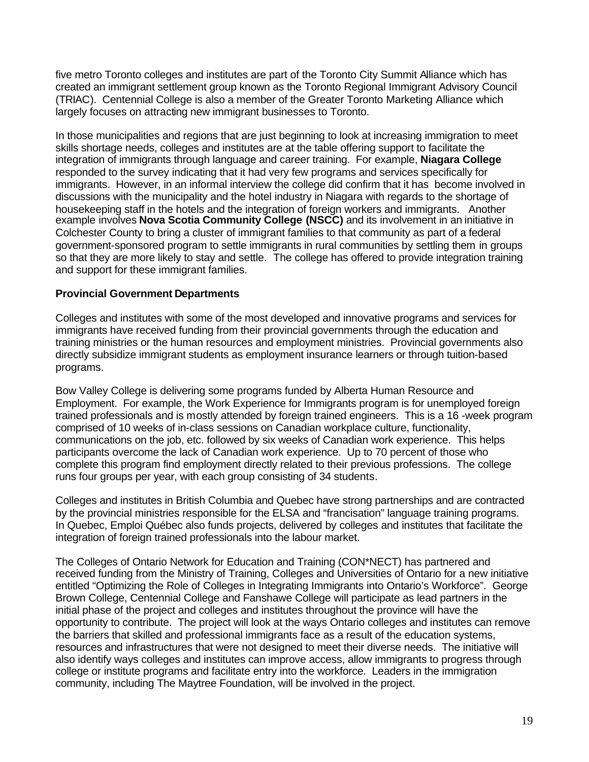five metro Toronto colleges and institutes are part of the Toronto City Summit Alliance which has created an immigrant settlement group known as the Toronto Regional Immigrant Advisory Council (TRIAC). Centennial College is also a member of the Greater Toronto Marketing Alliance which largely focuses on attracting new immigrant businesses to Toronto.

In those municipalities and regions that are just beginning to look at increasing immigration to meet skills shortage needs, colleges and institutes are at the table offering support to facilitate the integration of immigrants through language and career training. For example, **Niagara College**  responded to the survey indicating that it had very few programs and services specifically for immigrants. However, in an informal interview the college did confirm that it has become involved in discussions with the municipality and the hotel industry in Niagara with regards to the shortage of housekeeping staff in the hotels and the integration of foreign workers and immigrants. Another example involves **Nova Scotia Community College (NSCC)** and its involvement in an initiative in Colchester County to bring a cluster of immigrant families to that community as part of a federal government-sponsored program to settle immigrants in rural communities by settling them in groups so that they are more likely to stay and settle. The college has offered to provide integration training and support for these immigrant families.

#### **Provincial Government Departments**

Colleges and institutes with some of the most developed and innovative programs and services for immigrants have received funding from their provincial governments through the education and training ministries or the human resources and employment ministries. Provincial governments also directly subsidize immigrant students as employment insurance learners or through tuition-based programs.

Bow Valley College is delivering some programs funded by Alberta Human Resource and Employment. For example, the Work Experience for Immigrants program is for unemployed foreign trained professionals and is mostly attended by foreign trained engineers. This is a 16 -week program comprised of 10 weeks of in-class sessions on Canadian workplace culture, functionality, communications on the job, etc. followed by six weeks of Canadian work experience. This helps participants overcome the lack of Canadian work experience. Up to 70 percent of those who complete this program find employment directly related to their previous professions. The college runs four groups per year, with each group consisting of 34 students.

Colleges and institutes in British Columbia and Quebec have strong partnerships and are contracted by the provincial ministries responsible for the ELSA and "francisation" language training programs. In Quebec, Emploi Québec also funds projects, delivered by colleges and institutes that facilitate the integration of foreign trained professionals into the labour market.

The Colleges of Ontario Network for Education and Training (CON\*NECT) has partnered and received funding from the Ministry of Training, Colleges and Universities of Ontario for a new initiative entitled "Optimizing the Role of Colleges in Integrating Immigrants into Ontario's Workforce". George Brown College, Centennial College and Fanshawe College will participate as lead partners in the initial phase of the project and colleges and institutes throughout the province will have the opportunity to contribute. The project will look at the ways Ontario colleges and institutes can remove the barriers that skilled and professional immigrants face as a result of the education systems, resources and infrastructures that were not designed to meet their diverse needs. The initiative will also identify ways colleges and institutes can improve access, allow immigrants to progress through college or institute programs and facilitate entry into the workforce. Leaders in the immigration community, including The Maytree Foundation, will be involved in the project.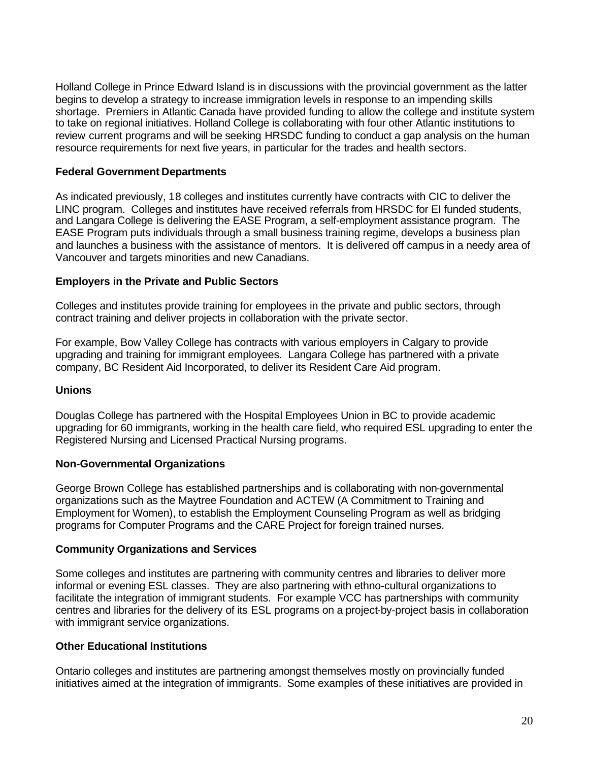Holland College in Prince Edward Island is in discussions with the provincial government as the latter begins to develop a strategy to increase immigration levels in response to an impending skills shortage. Premiers in Atlantic Canada have provided funding to allow the college and institute system to take on regional initiatives. Holland College is collaborating with four other Atlantic institutions to review current programs and will be seeking HRSDC funding to conduct a gap analysis on the human resource requirements for next five years, in particular for the trades and health sectors.

#### **Federal Government Departments**

As indicated previously, 18 colleges and institutes currently have contracts with CIC to deliver the LINC program. Colleges and institutes have received referrals from HRSDC for EI funded students, and Langara College is delivering the EASE Program, a self-employment assistance program. The EASE Program puts individuals through a small business training regime, develops a business plan and launches a business with the assistance of mentors. It is delivered off campus in a needy area of Vancouver and targets minorities and new Canadians.

#### **Employers in the Private and Public Sectors**

Colleges and institutes provide training for employees in the private and public sectors, through contract training and deliver projects in collaboration with the private sector.

For example, Bow Valley College has contracts with various employers in Calgary to provide upgrading and training for immigrant employees. Langara College has partnered with a private company, BC Resident Aid Incorporated, to deliver its Resident Care Aid program.

#### **Unions**

Douglas College has partnered with the Hospital Employees Union in BC to provide academic upgrading for 60 immigrants, working in the health care field, who required ESL upgrading to enter the Registered Nursing and Licensed Practical Nursing programs.

#### **Non-Governmental Organizations**

George Brown College has established partnerships and is collaborating with non-governmental organizations such as the Maytree Foundation and ACTEW (A Commitment to Training and Employment for Women), to establish the Employment Counseling Program as well as bridging programs for Computer Programs and the CARE Project for foreign trained nurses.

#### **Community Organizations and Services**

Some colleges and institutes are partnering with community centres and libraries to deliver more informal or evening ESL classes. They are also partnering with ethno-cultural organizations to facilitate the integration of immigrant students. For example VCC has partnerships with community centres and libraries for the delivery of its ESL programs on a project-by-project basis in collaboration with immigrant service organizations.

#### **Other Educational Institutions**

Ontario colleges and institutes are partnering amongst themselves mostly on provincially funded initiatives aimed at the integration of immigrants. Some examples of these initiatives are provided in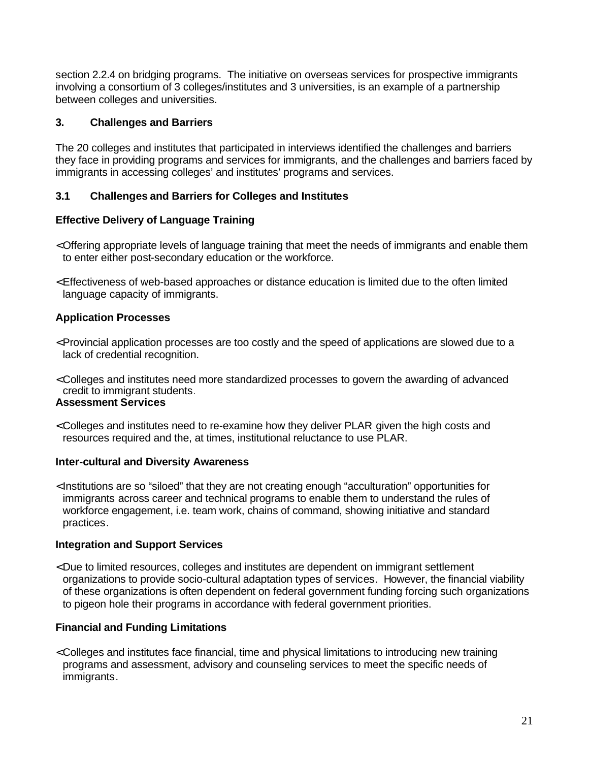<span id="page-27-0"></span>section 2.2.4 on bridging programs. The initiative on overseas services for prospective immigrants involving a consortium of 3 colleges/institutes and 3 universities, is an example of a partnership between colleges and universities.

#### **3. Challenges and Barriers**

The 20 colleges and institutes that participated in interviews identified the challenges and barriers they face in providing programs and services for immigrants, and the challenges and barriers faced by immigrants in accessing colleges' and institutes' programs and services.

#### **3.1 Challenges and Barriers for Colleges and Institutes**

#### **Effective Delivery of Language Training**

- < Offering appropriate levels of language training that meet the needs of immigrants and enable them to enter either post-secondary education or the workforce.
- < Effectiveness of web-based approaches or distance education is limited due to the often limited language capacity of immigrants.

#### **Application Processes**

- < Provincial application processes are too costly and the speed of applications are slowed due to a lack of credential recognition.
- < Colleges and institutes need more standardized processes to govern the awarding of advanced credit to immigrant students. **Assessment Services**
- < Colleges and institutes need to re-examine how they deliver PLAR given the high costs and resources required and the, at times, institutional reluctance to use PLAR.

#### **Inter-cultural and Diversity Awareness**

< Institutions are so "siloed" that they are not creating enough "acculturation" opportunities for immigrants across career and technical programs to enable them to understand the rules of workforce engagement, i.e. team work, chains of command, showing initiative and standard practices.

#### **Integration and Support Services**

< Due to limited resources, colleges and institutes are dependent on immigrant settlement organizations to provide socio-cultural adaptation types of services. However, the financial viability of these organizations is often dependent on federal government funding forcing such organizations to pigeon hole their programs in accordance with federal government priorities.

#### **Financial and Funding Limitations**

< Colleges and institutes face financial, time and physical limitations to introducing new training programs and assessment, advisory and counseling services to meet the specific needs of immigrants.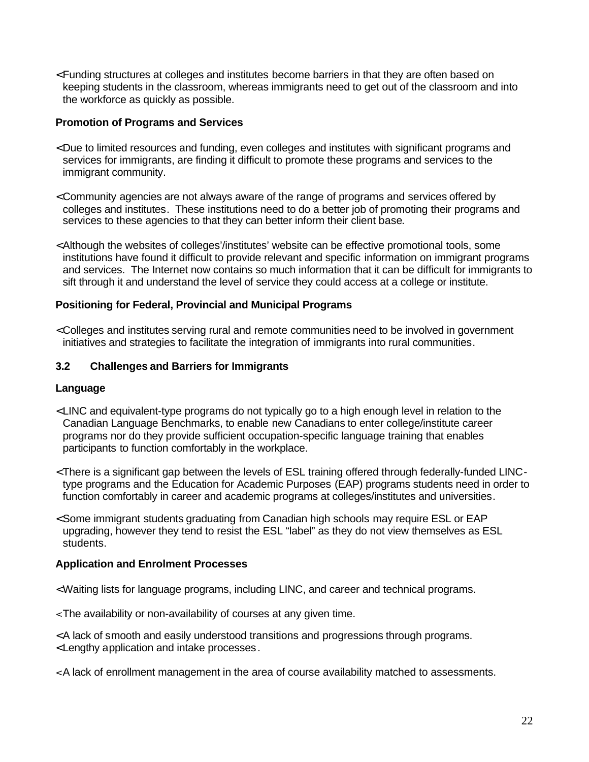<span id="page-28-0"></span>< Funding structures at colleges and institutes become barriers in that they are often based on keeping students in the classroom, whereas immigrants need to get out of the classroom and into the workforce as quickly as possible.

#### **Promotion of Programs and Services**

- < Due to limited resources and funding, even colleges and institutes with significant programs and services for immigrants, are finding it difficult to promote these programs and services to the immigrant community.
- < Community agencies are not always aware of the range of programs and services offered by colleges and institutes. These institutions need to do a better job of promoting their programs and services to these agencies to that they can better inform their client base.
- < Although the websites of colleges'/institutes' website can be effective promotional tools, some institutions have found it difficult to provide relevant and specific information on immigrant programs and services. The Internet now contains so much information that it can be difficult for immigrants to sift through it and understand the level of service they could access at a college or institute.

#### **Positioning for Federal, Provincial and Municipal Programs**

< Colleges and institutes serving rural and remote communities need to be involved in government initiatives and strategies to facilitate the integration of immigrants into rural communities.

#### **3.2 Challenges and Barriers for Immigrants**

#### **Language**

- < LINC and equivalent-type programs do not typically go to a high enough level in relation to the Canadian Language Benchmarks, to enable new Canadians to enter college/institute career programs nor do they provide sufficient occupation-specific language training that enables participants to function comfortably in the workplace.
- < There is a significant gap between the levels of ESL training offered through federally-funded LINCtype programs and the Education for Academic Purposes (EAP) programs students need in order to function comfortably in career and academic programs at colleges/institutes and universities.
- < Some immigrant students graduating from Canadian high schools may require ESL or EAP upgrading, however they tend to resist the ESL "label" as they do not view themselves as ESL students.

#### **Application and Enrolment Processes**

- < Waiting lists for language programs, including LINC, and career and technical programs.
- < The availability or non-availability of courses at any given time.
- < A lack of smooth and easily understood transitions and progressions through programs. < Lengthy application and intake processes.
- < A lack of enrollment management in the area of course availability matched to assessments.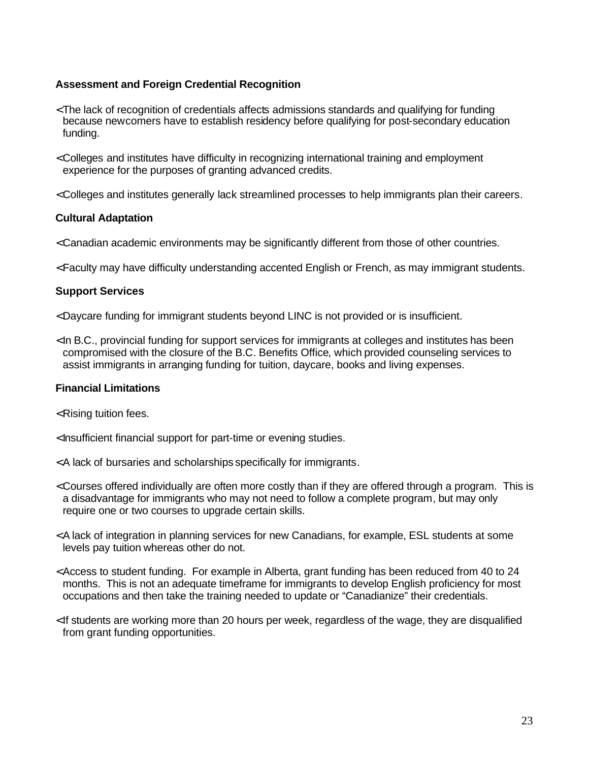#### **Assessment and Foreign Credential Recognition**

- < The lack of recognition of credentials affects admissions standards and qualifying for funding because newcomers have to establish residency before qualifying for post-secondary education funding.
- < Colleges and institutes have difficulty in recognizing international training and employment experience for the purposes of granting advanced credits.
- < Colleges and institutes generally lack streamlined processes to help immigrants plan their careers.

#### **Cultural Adaptation**

- < Canadian academic environments may be significantly different from those of other countries.
- < Faculty may have difficulty understanding accented English or French, as may immigrant students.

#### **Support Services**

- < Daycare funding for immigrant students beyond LINC is not provided or is insufficient.
- < In B.C., provincial funding for support services for immigrants at colleges and institutes has been compromised with the closure of the B.C. Benefits Office, which provided counseling services to assist immigrants in arranging funding for tuition, daycare, books and living expenses.

#### **Financial Limitations**

- < Rising tuition fees.
- < Insufficient financial support for part-time or evening studies.
- < A lack of bursaries and scholarships specifically for immigrants.
- < Courses offered individually are often more costly than if they are offered through a program. This is a disadvantage for immigrants who may not need to follow a complete program, but may only require one or two courses to upgrade certain skills.
- < A lack of integration in planning services for new Canadians, for example, ESL students at some levels pay tuition whereas other do not.
- < Access to student funding. For example in Alberta, grant funding has been reduced from 40 to 24 months. This is not an adequate timeframe for immigrants to develop English proficiency for most occupations and then take the training needed to update or "Canadianize" their credentials.
- < If students are working more than 20 hours per week, regardless of the wage, they are disqualified from grant funding opportunities.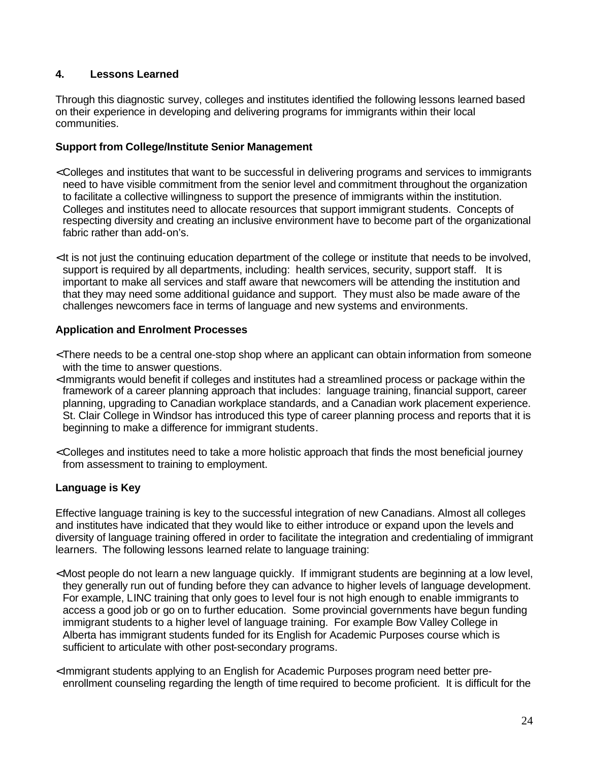#### <span id="page-30-0"></span>**4. Lessons Learned**

Through this diagnostic survey, colleges and institutes identified the following lessons learned based on their experience in developing and delivering programs for immigrants within their local communities.

#### **Support from College/Institute Senior Management**

- < Colleges and institutes that want to be successful in delivering programs and services to immigrants need to have visible commitment from the senior level and commitment throughout the organization to facilitate a collective willingness to support the presence of immigrants within the institution. Colleges and institutes need to allocate resources that support immigrant students. Concepts of respecting diversity and creating an inclusive environment have to become part of the organizational fabric rather than add-on's.
- < It is not just the continuing education department of the college or institute that needs to be involved, support is required by all departments, including: health services, security, support staff. It is important to make all services and staff aware that newcomers will be attending the institution and that they may need some additional guidance and support. They must also be made aware of the challenges newcomers face in terms of language and new systems and environments.

#### **Application and Enrolment Processes**

- < There needs to be a central one-stop shop where an applicant can obtain information from someone with the time to answer questions.
- < Immigrants would benefit if colleges and institutes had a streamlined process or package within the framework of a career planning approach that includes: language training, financial support, career planning, upgrading to Canadian workplace standards, and a Canadian work placement experience. St. Clair College in Windsor has introduced this type of career planning process and reports that it is beginning to make a difference for immigrant students.
- < Colleges and institutes need to take a more holistic approach that finds the most beneficial journey from assessment to training to employment.

#### **Language is Key**

Effective language training is key to the successful integration of new Canadians. Almost all colleges and institutes have indicated that they would like to either introduce or expand upon the levels and diversity of language training offered in order to facilitate the integration and credentialing of immigrant learners. The following lessons learned relate to language training:

- < Most people do not learn a new language quickly. If immigrant students are beginning at a low level, they generally run out of funding before they can advance to higher levels of language development. For example, LINC training that only goes to level four is not high enough to enable immigrants to access a good job or go on to further education. Some provincial governments have begun funding immigrant students to a higher level of language training. For example Bow Valley College in Alberta has immigrant students funded for its English for Academic Purposes course which is sufficient to articulate with other post-secondary programs.
- < Immigrant students applying to an English for Academic Purposes program need better preenrollment counseling regarding the length of time required to become proficient. It is difficult for the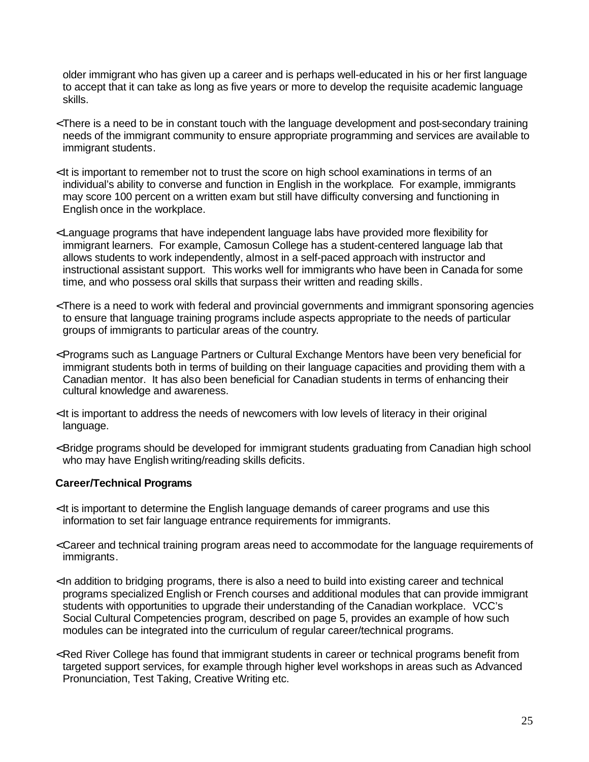older immigrant who has given up a career and is perhaps well-educated in his or her first language to accept that it can take as long as five years or more to develop the requisite academic language skills.

- < There is a need to be in constant touch with the language development and post-secondary training needs of the immigrant community to ensure appropriate programming and services are available to immigrant students.
- < It is important to remember not to trust the score on high school examinations in terms of an individual's ability to converse and function in English in the workplace. For example, immigrants may score 100 percent on a written exam but still have difficulty conversing and functioning in English once in the workplace.
- < Language programs that have independent language labs have provided more flexibility for immigrant learners. For example, Camosun College has a student-centered language lab that allows students to work independently, almost in a self-paced approach with instructor and instructional assistant support. This works well for immigrants who have been in Canada for some time, and who possess oral skills that surpass their written and reading skills.
- < There is a need to work with federal and provincial governments and immigrant sponsoring agencies to ensure that language training programs include aspects appropriate to the needs of particular groups of immigrants to particular areas of the country.
- < Programs such as Language Partners or Cultural Exchange Mentors have been very beneficial for immigrant students both in terms of building on their language capacities and providing them with a Canadian mentor. It has also been beneficial for Canadian students in terms of enhancing their cultural knowledge and awareness.
- < It is important to address the needs of newcomers with low levels of literacy in their original language.
- < Bridge programs should be developed for immigrant students graduating from Canadian high school who may have English writing/reading skills deficits.

#### **Career/Technical Programs**

- < It is important to determine the English language demands of career programs and use this information to set fair language entrance requirements for immigrants.
- < Career and technical training program areas need to accommodate for the language requirements of immigrants.
- < In addition to bridging programs, there is also a need to build into existing career and technical programs specialized English or French courses and additional modules that can provide immigrant students with opportunities to upgrade their understanding of the Canadian workplace. VCC's Social Cultural Competencies program, described on page 5, provides an example of how such modules can be integrated into the curriculum of regular career/technical programs.
- < Red River College has found that immigrant students in career or technical programs benefit from targeted support services, for example through higher level workshops in areas such as Advanced Pronunciation, Test Taking, Creative Writing etc.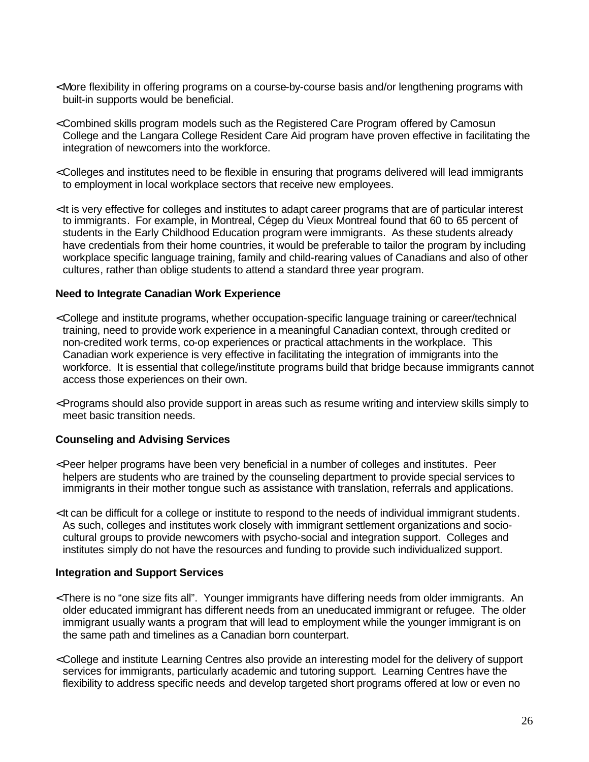- < More flexibility in offering programs on a course-by-course basis and/or lengthening programs with built-in supports would be beneficial.
- < Combined skills program models such as the Registered Care Program offered by Camosun College and the Langara College Resident Care Aid program have proven effective in facilitating the integration of newcomers into the workforce.
- < Colleges and institutes need to be flexible in ensuring that programs delivered will lead immigrants to employment in local workplace sectors that receive new employees.
- < It is very effective for colleges and institutes to adapt career programs that are of particular interest to immigrants. For example, in Montreal, Cégep du Vieux Montreal found that 60 to 65 percent of students in the Early Childhood Education program were immigrants. As these students already have credentials from their home countries, it would be preferable to tailor the program by including workplace specific language training, family and child-rearing values of Canadians and also of other cultures, rather than oblige students to attend a standard three year program.

#### **Need to Integrate Canadian Work Experience**

- < College and institute programs, whether occupation-specific language training or career/technical training, need to provide work experience in a meaningful Canadian context, through credited or non-credited work terms, co-op experiences or practical attachments in the workplace. This Canadian work experience is very effective in facilitating the integration of immigrants into the workforce. It is essential that college/institute programs build that bridge because immigrants cannot access those experiences on their own.
- < Programs should also provide support in areas such as resume writing and interview skills simply to meet basic transition needs.

#### **Counseling and Advising Services**

- < Peer helper programs have been very beneficial in a number of colleges and institutes. Peer helpers are students who are trained by the counseling department to provide special services to immigrants in their mother tongue such as assistance with translation, referrals and applications.
- < It can be difficult for a college or institute to respond to the needs of individual immigrant students. As such, colleges and institutes work closely with immigrant settlement organizations and sociocultural groups to provide newcomers with psycho-social and integration support. Colleges and institutes simply do not have the resources and funding to provide such individualized support.

#### **Integration and Support Services**

- < There is no "one size fits all". Younger immigrants have differing needs from older immigrants. An older educated immigrant has different needs from an uneducated immigrant or refugee. The older immigrant usually wants a program that will lead to employment while the younger immigrant is on the same path and timelines as a Canadian born counterpart.
- < College and institute Learning Centres also provide an interesting model for the delivery of support services for immigrants, particularly academic and tutoring support. Learning Centres have the flexibility to address specific needs and develop targeted short programs offered at low or even no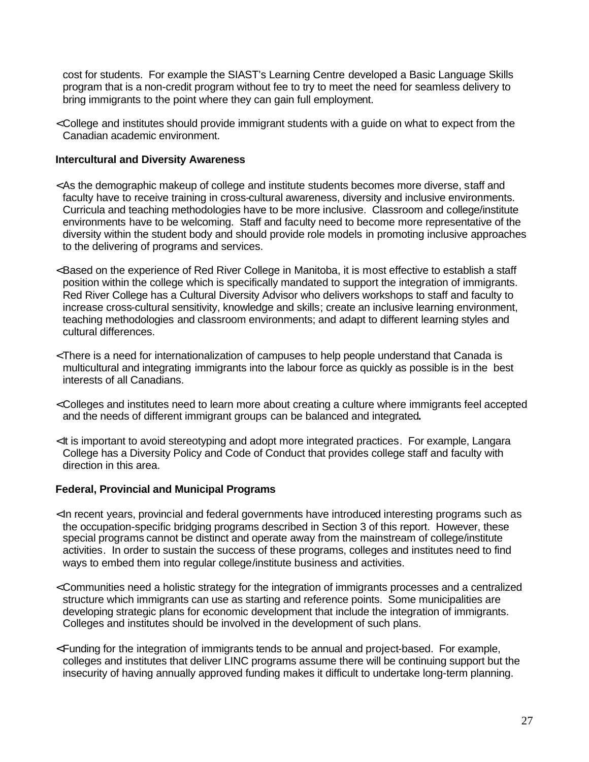cost for students. For example the SIAST's Learning Centre developed a Basic Language Skills program that is a non-credit program without fee to try to meet the need for seamless delivery to bring immigrants to the point where they can gain full employment.

< College and institutes should provide immigrant students with a guide on what to expect from the Canadian academic environment.

#### **Intercultural and Diversity Awareness**

- < As the demographic makeup of college and institute students becomes more diverse, staff and faculty have to receive training in cross-cultural awareness, diversity and inclusive environments. Curricula and teaching methodologies have to be more inclusive. Classroom and college/institute environments have to be welcoming. Staff and faculty need to become more representative of the diversity within the student body and should provide role models in promoting inclusive approaches to the delivering of programs and services.
- < Based on the experience of Red River College in Manitoba, it is most effective to establish a staff position within the college which is specifically mandated to support the integration of immigrants. Red River College has a Cultural Diversity Advisor who delivers workshops to staff and faculty to increase cross-cultural sensitivity, knowledge and skills; create an inclusive learning environment, teaching methodologies and classroom environments; and adapt to different learning styles and cultural differences.
- < There is a need for internationalization of campuses to help people understand that Canada is multicultural and integrating immigrants into the labour force as quickly as possible is in the best interests of all Canadians.
- < Colleges and institutes need to learn more about creating a culture where immigrants feel accepted and the needs of different immigrant groups can be balanced and integrated**.**
- < It is important to avoid stereotyping and adopt more integrated practices. For example, Langara College has a Diversity Policy and Code of Conduct that provides college staff and faculty with direction in this area.

#### **Federal, Provincial and Municipal Programs**

- < In recent years, provincial and federal governments have introduced interesting programs such as the occupation-specific bridging programs described in Section 3 of this report. However, these special programs cannot be distinct and operate away from the mainstream of college/institute activities. In order to sustain the success of these programs, colleges and institutes need to find ways to embed them into regular college/institute business and activities.
- < Communities need a holistic strategy for the integration of immigrants processes and a centralized structure which immigrants can use as starting and reference points. Some municipalities are developing strategic plans for economic development that include the integration of immigrants. Colleges and institutes should be involved in the development of such plans.
- <Funding for the integration of immigrants tends to be annual and project-based. For example, colleges and institutes that deliver LINC programs assume there will be continuing support but the insecurity of having annually approved funding makes it difficult to undertake long-term planning.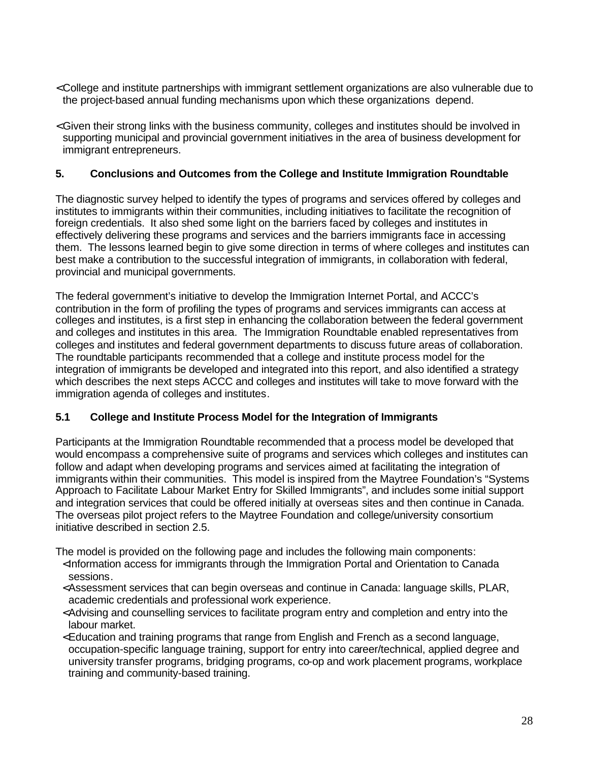- <span id="page-34-0"></span>< College and institute partnerships with immigrant settlement organizations are also vulnerable due to the project-based annual funding mechanisms upon which these organizations depend.
- < Given their strong links with the business community, colleges and institutes should be involved in supporting municipal and provincial government initiatives in the area of business development for immigrant entrepreneurs.

#### **5. Conclusions and Outcomes from the College and Institute Immigration Roundtable**

The diagnostic survey helped to identify the types of programs and services offered by colleges and institutes to immigrants within their communities, including initiatives to facilitate the recognition of foreign credentials. It also shed some light on the barriers faced by colleges and institutes in effectively delivering these programs and services and the barriers immigrants face in accessing them. The lessons learned begin to give some direction in terms of where colleges and institutes can best make a contribution to the successful integration of immigrants, in collaboration with federal, provincial and municipal governments.

The federal government's initiative to develop the Immigration Internet Portal, and ACCC's contribution in the form of profiling the types of programs and services immigrants can access at colleges and institutes, is a first step in enhancing the collaboration between the federal government and colleges and institutes in this area. The Immigration Roundtable enabled representatives from colleges and institutes and federal government departments to discuss future areas of collaboration. The roundtable participants recommended that a college and institute process model for the integration of immigrants be developed and integrated into this report, and also identified a strategy which describes the next steps ACCC and colleges and institutes will take to move forward with the immigration agenda of colleges and institutes.

#### **5.1 College and Institute Process Model for the Integration of Immigrants**

Participants at the Immigration Roundtable recommended that a process model be developed that would encompass a comprehensive suite of programs and services which colleges and institutes can follow and adapt when developing programs and services aimed at facilitating the integration of immigrants within their communities. This model is inspired from the Maytree Foundation's "Systems Approach to Facilitate Labour Market Entry for Skilled Immigrants", and includes some initial support and integration services that could be offered initially at overseas sites and then continue in Canada. The overseas pilot project refers to the Maytree Foundation and college/university consortium initiative described in section 2.5.

The model is provided on the following page and includes the following main components:

- <Information access for immigrants through the Immigration Portal and Orientation to Canada sessions.
- <Assessment services that can begin overseas and continue in Canada: language skills, PLAR, academic credentials and professional work experience.
- <Advising and counselling services to facilitate program entry and completion and entry into the labour market.
- <Education and training programs that range from English and French as a second language, occupation-specific language training, support for entry into career/technical, applied degree and university transfer programs, bridging programs, co-op and work placement programs, workplace training and community-based training.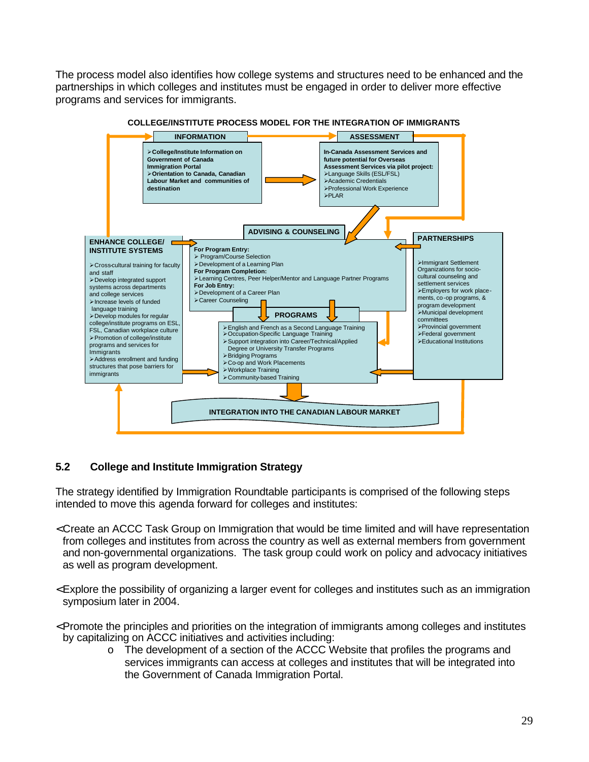<span id="page-35-0"></span>The process model also identifies how college systems and structures need to be enhanced and the partnerships in which colleges and institutes must be engaged in order to deliver more effective programs and services for immigrants.



#### **COLLEGE/INSTITUTE PROCESS MODEL FOR THE INTEGRATION OF IMMIGRANTS**

#### **5.2 College and Institute Immigration Strategy**

The strategy identified by Immigration Roundtable participants is comprised of the following steps intended to move this agenda forward for colleges and institutes:

- < Create an ACCC Task Group on Immigration that would be time limited and will have representation from colleges and institutes from across the country as well as external members from government and non-governmental organizations. The task group could work on policy and advocacy initiatives as well as program development.
- < Explore the possibility of organizing a larger event for colleges and institutes such as an immigration symposium later in 2004.
- < Promote the principles and priorities on the integration of immigrants among colleges and institutes by capitalizing on ACCC initiatives and activities including:
	- o The development of a section of the ACCC Website that profiles the programs and services immigrants can access at colleges and institutes that will be integrated into the Government of Canada Immigration Portal.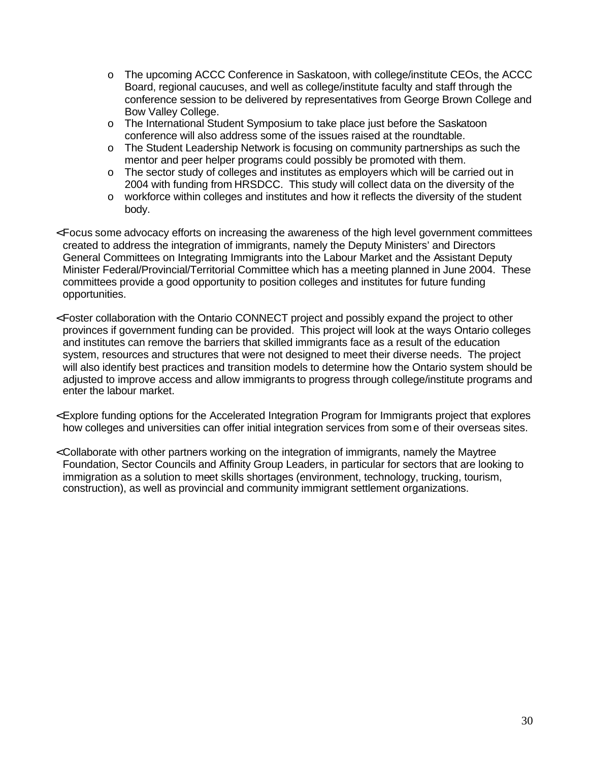- o The upcoming ACCC Conference in Saskatoon, with college/institute CEOs, the ACCC Board, regional caucuses, and well as college/institute faculty and staff through the conference session to be delivered by representatives from George Brown College and Bow Valley College.
- o The International Student Symposium to take place just before the Saskatoon conference will also address some of the issues raised at the roundtable.
- o The Student Leadership Network is focusing on community partnerships as such the mentor and peer helper programs could possibly be promoted with them.
- o The sector study of colleges and institutes as employers which will be carried out in 2004 with funding from HRSDCC. This study will collect data on the diversity of the
- o workforce within colleges and institutes and how it reflects the diversity of the student body.
- < Focus some advocacy efforts on increasing the awareness of the high level government committees created to address the integration of immigrants, namely the Deputy Ministers' and Directors General Committees on Integrating Immigrants into the Labour Market and the Assistant Deputy Minister Federal/Provincial/Territorial Committee which has a meeting planned in June 2004. These committees provide a good opportunity to position colleges and institutes for future funding opportunities.
- < Foster collaboration with the Ontario CONNECT project and possibly expand the project to other provinces if government funding can be provided. This project will look at the ways Ontario colleges and institutes can remove the barriers that skilled immigrants face as a result of the education system, resources and structures that were not designed to meet their diverse needs. The project will also identify best practices and transition models to determine how the Ontario system should be adjusted to improve access and allow immigrants to progress through college/institute programs and enter the labour market.
- < Explore funding options for the Accelerated Integration Program for Immigrants project that explores how colleges and universities can offer initial integration services from some of their overseas sites.
- < Collaborate with other partners working on the integration of immigrants, namely the Maytree Foundation, Sector Councils and Affinity Group Leaders, in particular for sectors that are looking to immigration as a solution to meet skills shortages (environment, technology, trucking, tourism, construction), as well as provincial and community immigrant settlement organizations.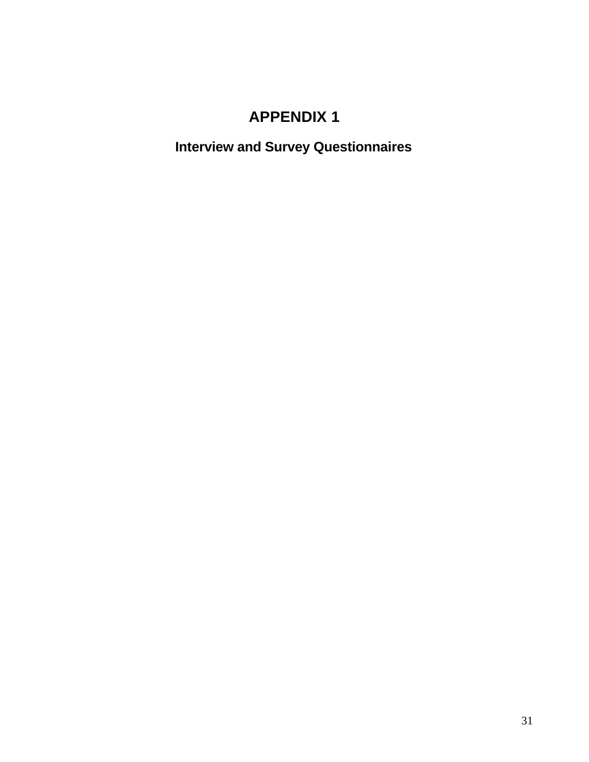### **APPENDIX 1**

<span id="page-37-0"></span>**Interview and Survey Questionnaires**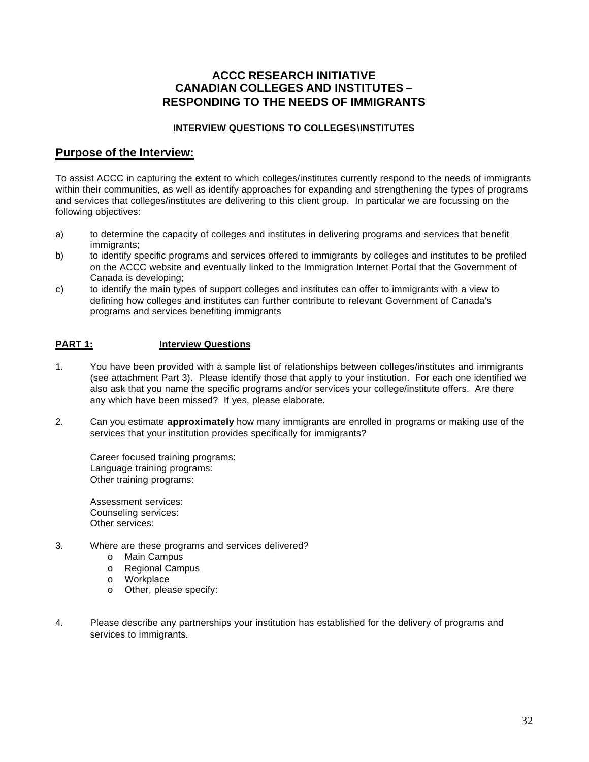#### **ACCC RESEARCH INITIATIVE CANADIAN COLLEGES AND INSTITUTES – RESPONDING TO THE NEEDS OF IMMIGRANTS**

#### **INTERVIEW QUESTIONS TO COLLEGES\INSTITUTES**

#### **Purpose of the Interview:**

To assist ACCC in capturing the extent to which colleges/institutes currently respond to the needs of immigrants within their communities, as well as identify approaches for expanding and strengthening the types of programs and services that colleges/institutes are delivering to this client group. In particular we are focussing on the following objectives:

- a) to determine the capacity of colleges and institutes in delivering programs and services that benefit immigrants:
- b) to identify specific programs and services offered to immigrants by colleges and institutes to be profiled on the ACCC website and eventually linked to the Immigration Internet Portal that the Government of Canada is developing;
- c) to identify the main types of support colleges and institutes can offer to immigrants with a view to defining how colleges and institutes can further contribute to relevant Government of Canada's programs and services benefiting immigrants

#### **PART 1: Interview Questions**

- 1. You have been provided with a sample list of relationships between colleges/institutes and immigrants (see attachment Part 3). Please identify those that apply to your institution. For each one identified we also ask that you name the specific programs and/or services your college/institute offers. Are there any which have been missed? If yes, please elaborate.
- 2. Can you estimate **approximately** how many immigrants are enrolled in programs or making use of the services that your institution provides specifically for immigrants?

Career focused training programs: Language training programs: Other training programs:

Assessment services: Counseling services: Other services:

- 3. Where are these programs and services delivered?
	- o Main Campus
	- o Regional Campus
	- o Workplace
	- o Other, please specify:
- 4. Please describe any partnerships your institution has established for the delivery of programs and services to immigrants.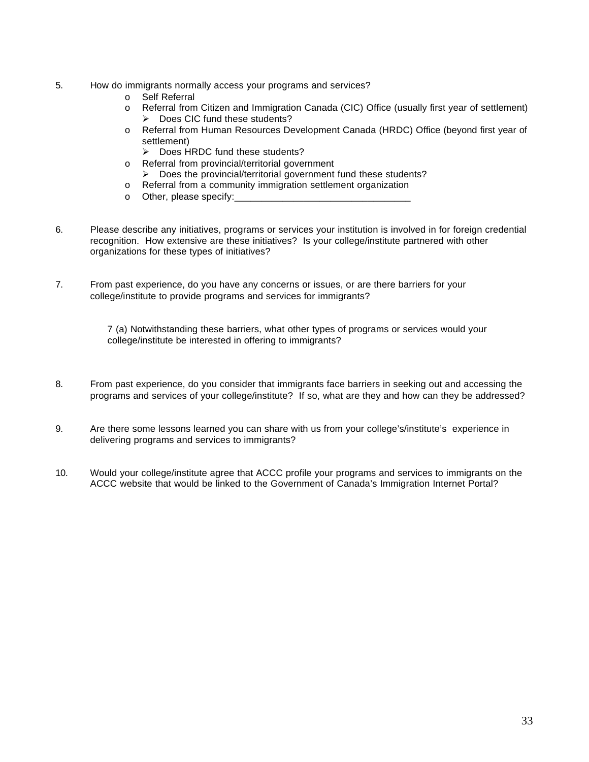- 5. How do immigrants normally access your programs and services?
	- o Self Referral
	- o Referral from Citizen and Immigration Canada (CIC) Office (usually first year of settlement)  $\triangleright$  Does CIC fund these students?
	- o Referral from Human Resources Development Canada (HRDC) Office (beyond first year of settlement)
		- $\triangleright$  Does HRDC fund these students?
	- o Referral from provincial/territorial government
		- $\triangleright$  Does the provincial/territorial government fund these students?
	- o Referral from a community immigration settlement organization
	- $\circ$  Other, please specify:
- 6. Please describe any initiatives, programs or services your institution is involved in for foreign credential recognition. How extensive are these initiatives? Is your college/institute partnered with other organizations for these types of initiatives?
- 7. From past experience, do you have any concerns or issues, or are there barriers for your college/institute to provide programs and services for immigrants?

7 (a) Notwithstanding these barriers, what other types of programs or services would your college/institute be interested in offering to immigrants?

- 8. From past experience, do you consider that immigrants face barriers in seeking out and accessing the programs and services of your college/institute? If so, what are they and how can they be addressed?
- 9. Are there some lessons learned you can share with us from your college's/institute's experience in delivering programs and services to immigrants?
- 10. Would your college/institute agree that ACCC profile your programs and services to immigrants on the ACCC website that would be linked to the Government of Canada's Immigration Internet Portal?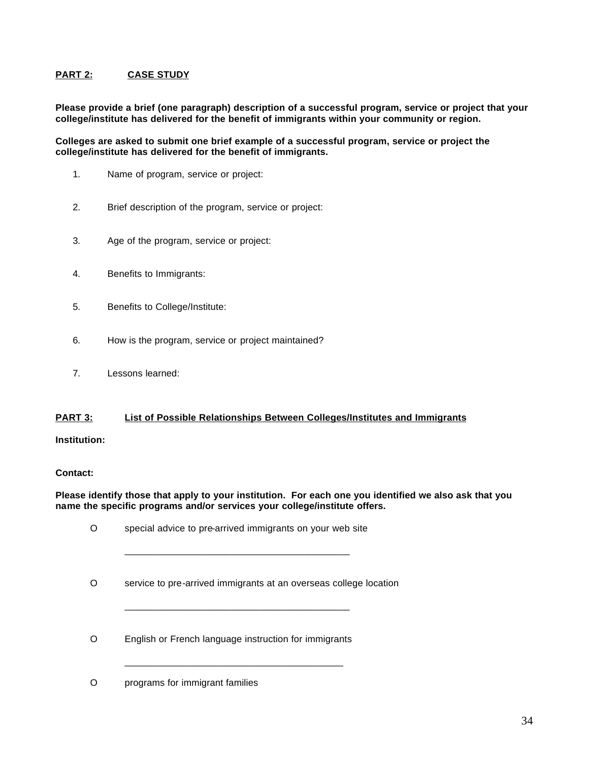#### **PART 2: CASE STUDY**

**Please provide a brief (one paragraph) description of a successful program, service or project that your college/institute has delivered for the benefit of immigrants within your community or region.** 

#### **Colleges are asked to submit one brief example of a successful program, service or project the college/institute has delivered for the benefit of immigrants.**

- 1. Name of program, service or project:
- 2. Brief description of the program, service or project:
- 3. Age of the program, service or project:
- 4. Benefits to Immigrants:
- 5. Benefits to College/Institute:
- 6. How is the program, service or project maintained?
- 7. Lessons learned:

#### **PART 3: List of Possible Relationships Between Colleges/Institutes and Immigrants**

#### **Institution:**

#### **Contact:**

#### **Please identify those that apply to your institution. For each one you identified we also ask that you name the specific programs and/or services your college/institute offers.**

|   | special advice to pre-arrived immigrants on your web site         |
|---|-------------------------------------------------------------------|
| 0 | service to pre-arrived immigrants at an overseas college location |
| Ω | English or French language instruction for immigrants             |
|   | programs for immigrant families                                   |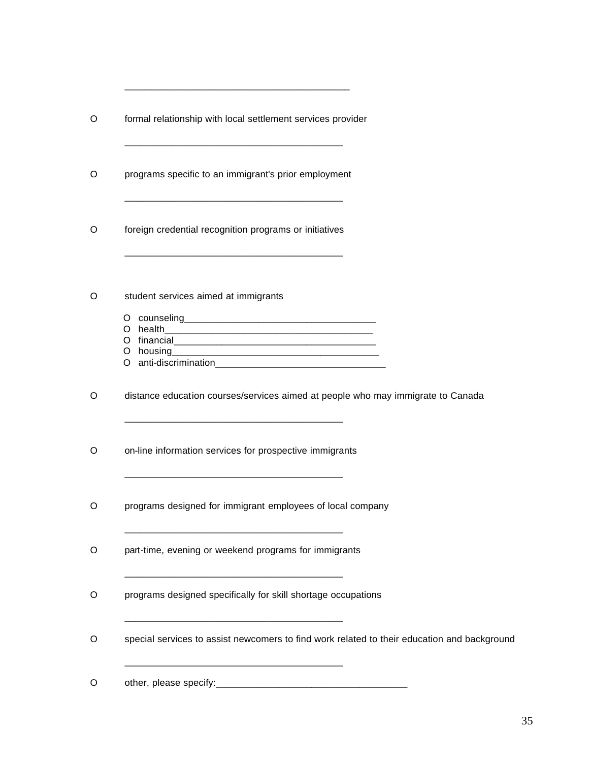| O | formal relationship with local settlement services provider                                                                                                                                                                                                            |
|---|------------------------------------------------------------------------------------------------------------------------------------------------------------------------------------------------------------------------------------------------------------------------|
| O | programs specific to an immigrant's prior employment                                                                                                                                                                                                                   |
| O | foreign credential recognition programs or initiatives                                                                                                                                                                                                                 |
| O | student services aimed at immigrants<br>O anti-discrimination contract to the contract of the contract of the contract of the contract of the contract of the contract of the contract of the contract of the contract of the contract of the contract of the contract |
| O | distance education courses/services aimed at people who may immigrate to Canada<br><u> 1980 - Johann John Stone, mars eta biztanleria (h. 1980).</u>                                                                                                                   |
| O | on-line information services for prospective immigrants                                                                                                                                                                                                                |
| O | programs designed for immigrant employees of local company                                                                                                                                                                                                             |
| O | part-time, evening or weekend programs for immigrants                                                                                                                                                                                                                  |
| O | programs designed specifically for skill shortage occupations                                                                                                                                                                                                          |
| O | special services to assist newcomers to find work related to their education and background                                                                                                                                                                            |
| O |                                                                                                                                                                                                                                                                        |

\_\_\_\_\_\_\_\_\_\_\_\_\_\_\_\_\_\_\_\_\_\_\_\_\_\_\_\_\_\_\_\_\_\_\_\_\_\_\_\_\_\_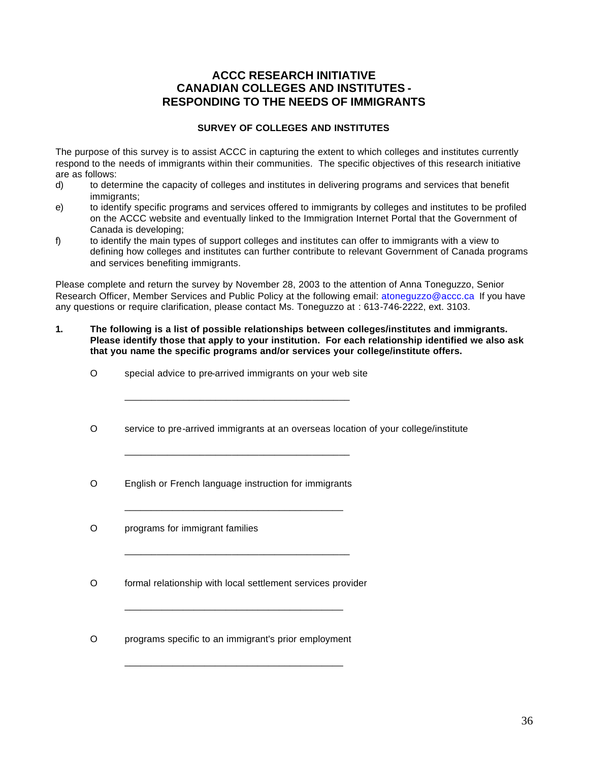#### **ACCC RESEARCH INITIATIVE CANADIAN COLLEGES AND INSTITUTES RESPONDING TO THE NEEDS OF IMMIGRANTS**

#### **SURVEY OF COLLEGES AND INSTITUTES**

The purpose of this survey is to assist ACCC in capturing the extent to which colleges and institutes currently respond to the needs of immigrants within their communities. The specific objectives of this research initiative are as follows:

- d) to determine the capacity of colleges and institutes in delivering programs and services that benefit immigrants:
- e) to identify specific programs and services offered to immigrants by colleges and institutes to be profiled on the ACCC website and eventually linked to the Immigration Internet Portal that the Government of Canada is developing;
- f) to identify the main types of support colleges and institutes can offer to immigrants with a view to defining how colleges and institutes can further contribute to relevant Government of Canada programs and services benefiting immigrants.

Please complete and return the survey by November 28, 2003 to the attention of Anna Toneguzzo, Senior Research Officer, Member Services and Public Policy at the following email: atoneguzzo@accc.ca If you have any questions or require clarification, please contact Ms. Toneguzzo at : 613-746-2222, ext. 3103.

- **1. The following is a list of possible relationships between colleges/institutes and immigrants. Please identify those that apply to your institution. For each relationship identified we also ask that you name the specific programs and/or services your college/institute offers.** 
	- O special advice to pre-arrived immigrants on your web site

\_\_\_\_\_\_\_\_\_\_\_\_\_\_\_\_\_\_\_\_\_\_\_\_\_\_\_\_\_\_\_\_\_\_\_\_\_\_\_\_\_\_

\_\_\_\_\_\_\_\_\_\_\_\_\_\_\_\_\_\_\_\_\_\_\_\_\_\_\_\_\_\_\_\_\_\_\_\_\_\_\_\_\_\_

\_\_\_\_\_\_\_\_\_\_\_\_\_\_\_\_\_\_\_\_\_\_\_\_\_\_\_\_\_\_\_\_\_\_\_\_\_\_\_\_\_

\_\_\_\_\_\_\_\_\_\_\_\_\_\_\_\_\_\_\_\_\_\_\_\_\_\_\_\_\_\_\_\_\_\_\_\_\_\_\_\_\_\_

- O service to pre-arrived immigrants at an overseas location of your college/institute
- O English or French language instruction for immigrants
- O programs for immigrant families
- O formal relationship with local settlement services provider

\_\_\_\_\_\_\_\_\_\_\_\_\_\_\_\_\_\_\_\_\_\_\_\_\_\_\_\_\_\_\_\_\_\_\_\_\_\_\_\_\_

\_\_\_\_\_\_\_\_\_\_\_\_\_\_\_\_\_\_\_\_\_\_\_\_\_\_\_\_\_\_\_\_\_\_\_\_\_\_\_\_\_

O programs specific to an immigrant's prior employment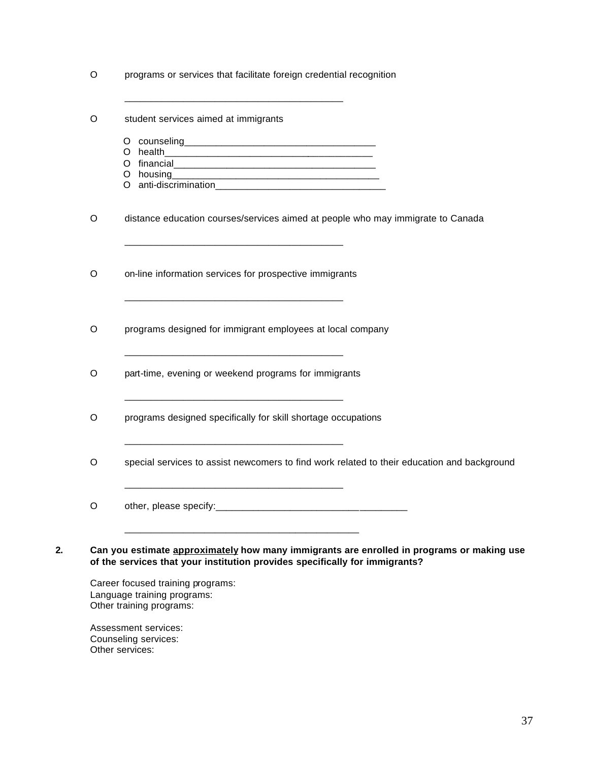| O       | programs or services that facilitate foreign credential recognition                                                                                  |
|---------|------------------------------------------------------------------------------------------------------------------------------------------------------|
| O       | student services aimed at immigrants                                                                                                                 |
|         |                                                                                                                                                      |
|         |                                                                                                                                                      |
|         |                                                                                                                                                      |
|         |                                                                                                                                                      |
|         |                                                                                                                                                      |
| O       | distance education courses/services aimed at people who may immigrate to Canada<br><u> 1980 - Johann John Stone, mars eta biztanleria (h. 1980).</u> |
| $\circ$ | on-line information services for prospective immigrants                                                                                              |
| $\circ$ | <u> 1980 - Jan James James Barnett, fransk politik (d. 1980)</u><br>programs designed for immigrant employees at local company                       |
| $\circ$ | part-time, evening or weekend programs for immigrants                                                                                                |
| $\circ$ | programs designed specifically for skill shortage occupations                                                                                        |
| $\circ$ | special services to assist newcomers to find work related to their education and background                                                          |
| $\circ$ |                                                                                                                                                      |

Career focused training programs: Language training programs: Other training programs:

Assessment services: Counseling services: Other services: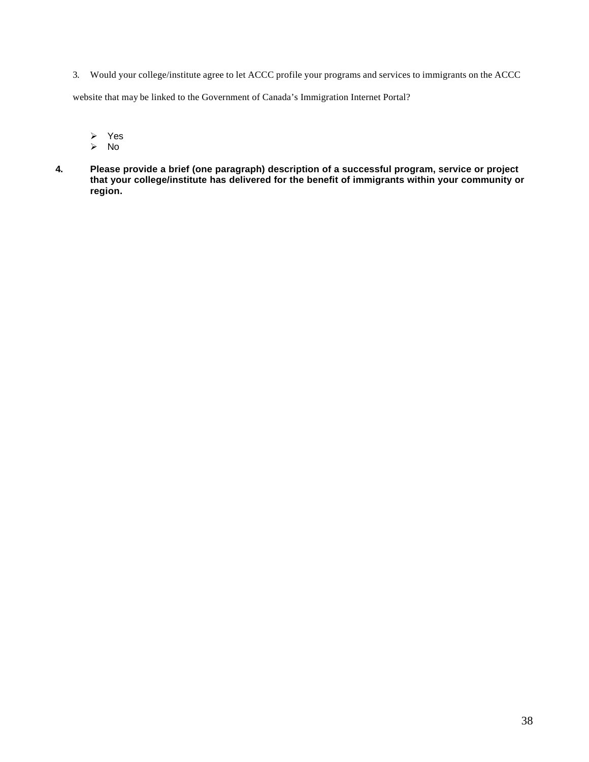3. Would your college/institute agree to let ACCC profile your programs and services to immigrants on the ACCC

website that may be linked to the Government of Canada's Immigration Internet Portal?

- Yes
- No
- **4. Please provide a brief (one paragraph) description of a successful program, service or project that your college/institute has delivered for the benefit of immigrants within your community or region.**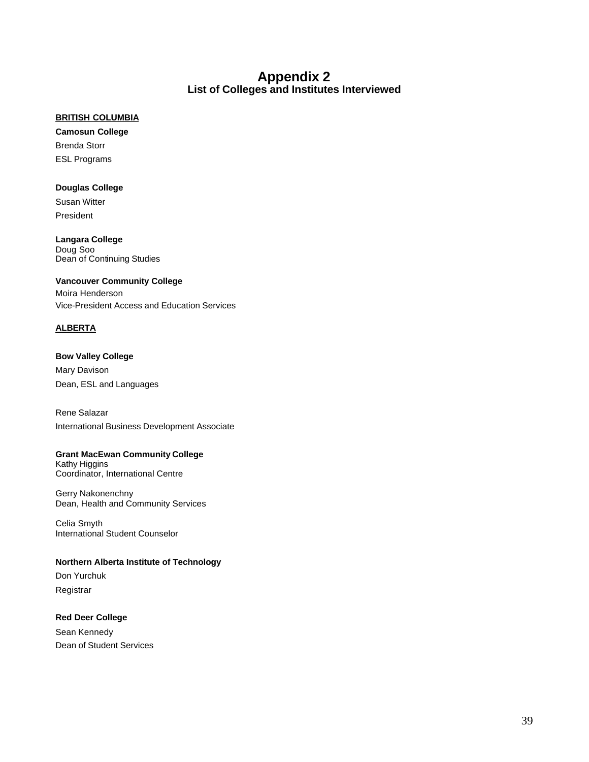#### **Appendix 2 List of Colleges and Institutes Interviewed**

#### <span id="page-45-0"></span>**BRITISH COLUMBIA**

**Camosun College**  Brenda Storr ESL Programs

#### **Douglas College**

Susan Witter President

**Langara College**  Doug Soo Dean of Continuing Studies

#### **Vancouver Community College**

Moira Henderson Vice-President Access and Education Services

#### **ALBERTA**

**Bow Valley College**  Mary Davison Dean, ESL and Languages

Rene Salazar International Business Development Associate

#### **Grant MacEwan Community College**

Kathy Higgins Coordinator, International Centre

Gerry Nakonenchny Dean, Health and Community Services

Celia Smyth International Student Counselor

#### **Northern Alberta Institute of Technology**

Don Yurchuk Registrar

#### **Red Deer College**

Sean Kennedy Dean of Student Services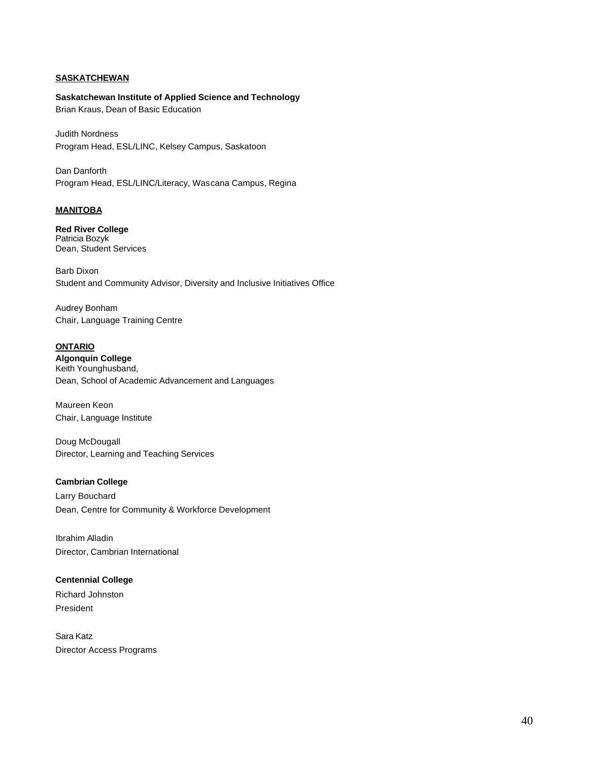#### **SASKATCHEWAN**

**Saskatchewan Institute of Applied Science and Technology**  Brian Kraus, Dean of Basic Education

Judith Nordness Program Head, ESL/LINC, Kelsey Campus, Saskatoon

Dan Danforth Program Head, ESL/LINC/Literacy, Wascana Campus, Regina

#### **MANITOBA**

**Red River College**  Patricia Bozyk Dean, Student Services

Barb Dixon Student and Community Advisor, Diversity and Inclusive Initiatives Office

Audrey Bonham Chair, Language Training Centre

#### **ONTARIO**

**Algonquin College**  Keith Younghusband, Dean, School of Academic Advancement and Languages

Maureen Keon Chair, Language Institute

Doug McDougall Director, Learning and Teaching Services

#### **Cambrian College**

Larry Bouchard Dean, Centre for Community & Workforce Development

Ibrahim Alladin Director, Cambrian International

#### **Centennial College**

Richard Johnston President

Sara Katz Director Access Programs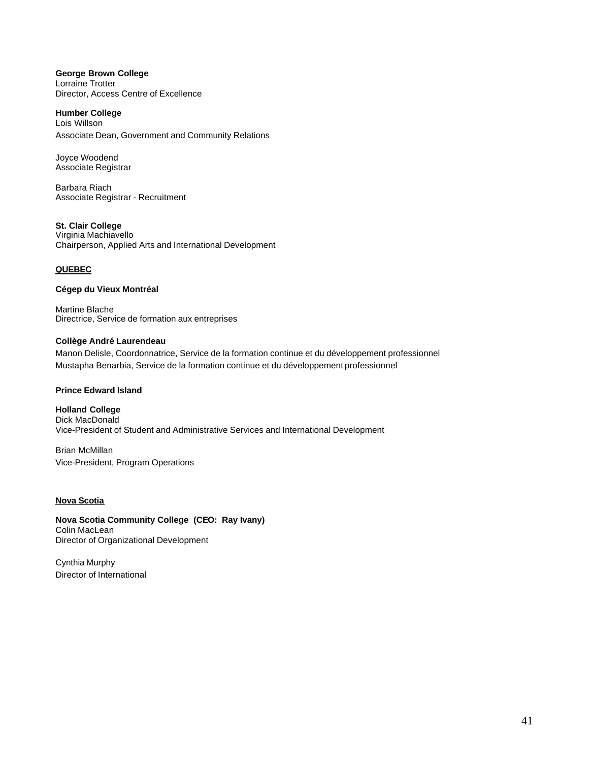#### **George Brown College**  Lorraine Trotter Director, Access Centre of Excellence

#### **Humber College**  Lois Willson Associate Dean, Government and Community Relations

Joyce Woodend Associate Registrar

Barbara Riach Associate Registrar - Recruitment

#### **St. Clair College**  Virginia Machiavello

Chairperson, Applied Arts and International Development

#### **QUEBEC**

#### **Cégep du Vieux Montréal**

Martine Blache Directrice, Service de formation aux entreprises

#### **Collège André Laurendeau**

Manon Delisle, Coordonnatrice, Service de la formation continue et du développement professionnel Mustapha Benarbia, Service de la formation continue et du développement professionnel

#### **Prince Edward Island**

**Holland College**  Dick MacDonald Vice-President of Student and Administrative Services and International Development

Brian McMillan Vice-President, Program Operations

#### **Nova Scotia**

**Nova Scotia Community College (CEO: Ray Ivany)**  Colin MacLean Director of Organizational Development

Cynthia Murphy Director of International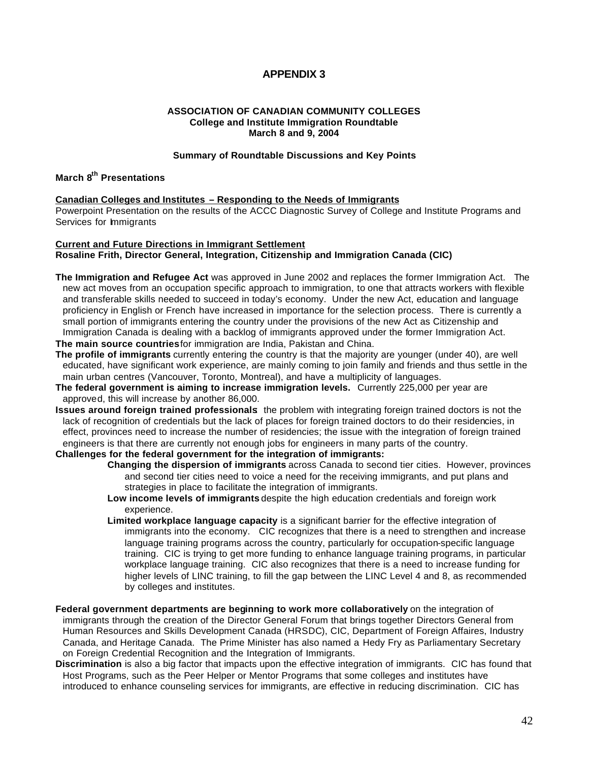#### **APPENDIX 3**

#### **ASSOCIATION OF CANADIAN COMMUNITY COLLEGES College and Institute Immigration Roundtable March 8 and 9, 2004**

#### **Summary of Roundtable Discussions and Key Points**

#### <span id="page-48-0"></span>**March 8th Presentations**

#### **Canadian Colleges and Institutes – Responding to the Needs of Immigrants**

Powerpoint Presentation on the results of the ACCC Diagnostic Survey of College and Institute Programs and Services for Immigrants

#### **Current and Future Directions in Immigrant Settlement Rosaline Frith, Director General, Integration, Citizenship and Immigration Canada (CIC)**

**The Immigration and Refugee Act** was approved in June 2002 and replaces the former Immigration Act. The new act moves from an occupation specific approach to immigration, to one that attracts workers with flexible and transferable skills needed to succeed in today's economy. Under the new Act, education and language proficiency in English or French have increased in importance for the selection process. There is currently a small portion of immigrants entering the country under the provisions of the new Act as Citizenship and Immigration Canada is dealing with a backlog of immigrants approved under the former Immigration Act.

**The main source countries**for immigration are India, Pakistan and China.

- **The profile of immigrants** currently entering the country is that the majority are younger (under 40), are well educated, have significant work experience, are mainly coming to join family and friends and thus settle in the main urban centres (Vancouver, Toronto, Montreal), and have a multiplicity of languages.
- **The federal government is aiming to increase immigration levels.** Currently 225,000 per year are approved, this will increase by another 86,000.
- **Issues around foreign trained professionals**: the problem with integrating foreign trained doctors is not the lack of recognition of credentials but the lack of places for foreign trained doctors to do their residencies, in effect, provinces need to increase the number of residencies; the issue with the integration of foreign trained engineers is that there are currently not enough jobs for engineers in many parts of the country.

#### **Challenges for the federal government for the integration of immigrants:**

- **Changing the dispersion of immigrants** across Canada to second tier cities. However, provinces and second tier cities need to voice a need for the receiving immigrants, and put plans and strategies in place to facilitate the integration of immigrants.
- **Low income levels of immigrants** despite the high education credentials and foreign work experience.
- **Limited workplace language capacity** is a significant barrier for the effective integration of immigrants into the economy. CIC recognizes that there is a need to strengthen and increase language training programs across the country, particularly for occupation-specific language training. CIC is trying to get more funding to enhance language training programs, in particular workplace language training. CIC also recognizes that there is a need to increase funding for higher levels of LINC training, to fill the gap between the LINC Level 4 and 8, as recommended by colleges and institutes.
- **Federal government departments are beginning to work more collaboratively** on the integration of immigrants through the creation of the Director General Forum that brings together Directors General from Human Resources and Skills Development Canada (HRSDC), CIC, Department of Foreign Affaires, Industry Canada, and Heritage Canada. The Prime Minister has also named a Hedy Fry as Parliamentary Secretary on Foreign Credential Recognition and the Integration of Immigrants.
- **Discrimination** is also a big factor that impacts upon the effective integration of immigrants. CIC has found that Host Programs, such as the Peer Helper or Mentor Programs that some colleges and institutes have introduced to enhance counseling services for immigrants, are effective in reducing discrimination. CIC has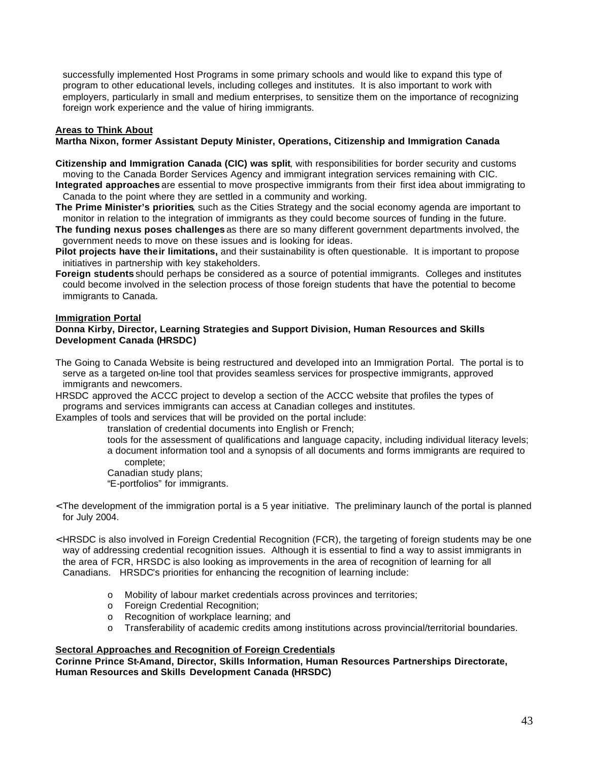successfully implemented Host Programs in some primary schools and would like to expand this type of program to other educational levels, including colleges and institutes. It is also important to work with employers, particularly in small and medium enterprises, to sensitize them on the importance of recognizing foreign work experience and the value of hiring immigrants.

#### **Areas to Think About**

#### **Martha Nixon, former Assistant Deputy Minister, Operations, Citizenship and Immigration Canada**

- **Citizenship and Immigration Canada (CIC) was split**, with responsibilities for border security and customs moving to the Canada Border Services Agency and immigrant integration services remaining with CIC.
- **Integrated approaches** are essential to move prospective immigrants from their first idea about immigrating to Canada to the point where they are settled in a community and working.
- **The Prime Minister's priorities**, such as the Cities Strategy and the social economy agenda are important to monitor in relation to the integration of immigrants as they could become sources of funding in the future.
- **The funding nexus poses challenges** as there are so many different government departments involved, the government needs to move on these issues and is looking for ideas.
- **Pilot projects have their limitations,** and their sustainability is often questionable. It is important to propose initiatives in partnership with key stakeholders.
- **Foreign students** should perhaps be considered as a source of potential immigrants. Colleges and institutes could become involved in the selection process of those foreign students that have the potential to become immigrants to Canada.

#### **Immigration Portal**

#### **Donna Kirby, Director, Learning Strategies and Support Division, Human Resources and Skills Development Canada (HRSDC)**

- The Going to Canada Website is being restructured and developed into an Immigration Portal. The portal is to serve as a targeted on-line tool that provides seamless services for prospective immigrants, approved immigrants and newcomers.
- HRSDC approved the ACCC project to develop a section of the ACCC website that profiles the types of programs and services immigrants can access at Canadian colleges and institutes.

Examples of tools and services that will be provided on the portal include:

translation of credential documents into English or French;

- tools for the assessment of qualifications and language capacity, including individual literacy levels; a document information tool and a synopsis of all documents and forms immigrants are required to complete;
- Canadian study plans;

"E-portfolios" for immigrants.

- < The development of the immigration portal is a 5 year initiative. The preliminary launch of the portal is planned for July 2004.
- < HRSDC is also involved in Foreign Credential Recognition (FCR), the targeting of foreign students may be one way of addressing credential recognition issues. Although it is essential to find a way to assist immigrants in the area of FCR, HRSDC is also looking as improvements in the area of recognition of learning for all Canadians. HRSDC's priorities for enhancing the recognition of learning include:
	- o Mobility of labour market credentials across provinces and territories;
	- o Foreign Credential Recognition;
	- o Recognition of workplace learning; and
	- o Transferability of academic credits among institutions across provincial/territorial boundaries.

#### **Sectoral Approaches and Recognition of Foreign Credentials**

**Corinne Prince St-Amand, Director, Skills Information, Human Resources Partnerships Directorate, Human Resources and Skills Development Canada (HRSDC)**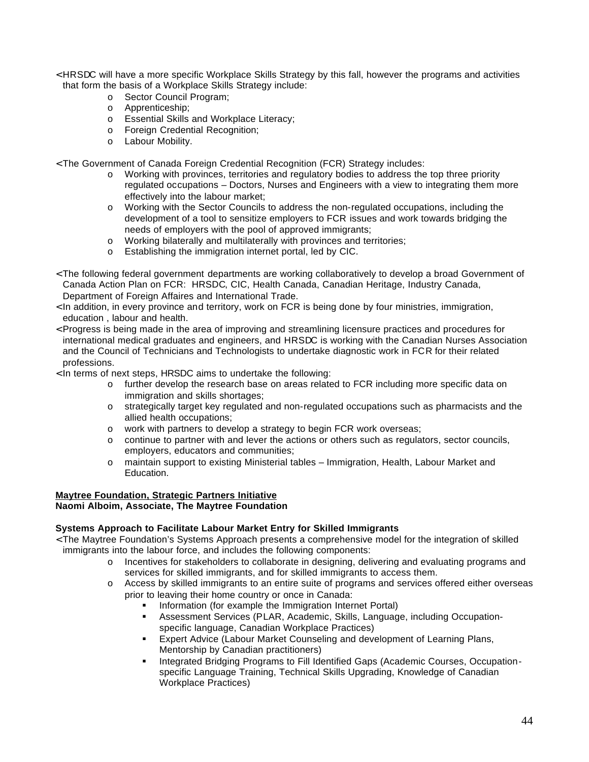- < HRSDC will have a more specific Workplace Skills Strategy by this fall, however the programs and activities that form the basis of a Workplace Skills Strategy include:
	- o Sector Council Program;
	- o Apprenticeship;
	- o Essential Skills and Workplace Literacy;
	- o Foreign Credential Recognition;
	- o Labour Mobility.

< The Government of Canada Foreign Credential Recognition (FCR) Strategy includes:

- o Working with provinces, territories and regulatory bodies to address the top three priority regulated occupations – Doctors, Nurses and Engineers with a view to integrating them more effectively into the labour market;
- o Working with the Sector Councils to address the non-regulated occupations, including the development of a tool to sensitize employers to FCR issues and work towards bridging the needs of employers with the pool of approved immigrants;
- o Working bilaterally and multilaterally with provinces and territories;
- o Establishing the immigration internet portal, led by CIC.
- < The following federal government departments are working collaboratively to develop a broad Government of Canada Action Plan on FCR: HRSDC, CIC, Health Canada, Canadian Heritage, Industry Canada, Department of Foreign Affaires and International Trade.
- < In addition, in every province and territory, work on FCR is being done by four ministries, immigration, education , labour and health.
- < Progress is being made in the area of improving and streamlining licensure practices and procedures for international medical graduates and engineers, and HRSDC is working with the Canadian Nurses Association and the Council of Technicians and Technologists to undertake diagnostic work in FCR for their related professions.
- < In terms of next steps, HRSDC aims to undertake the following:
	- o further develop the research base on areas related to FCR including more specific data on immigration and skills shortages;
	- $\circ$  strategically target key regulated and non-regulated occupations such as pharmacists and the allied health occupations;
	- o work with partners to develop a strategy to begin FCR work overseas;
	- $\circ$  continue to partner with and lever the actions or others such as regulators, sector councils, employers, educators and communities;
	- o maintain support to existing Ministerial tables Immigration, Health, Labour Market and Education.

#### **Maytree Foundation, Strategic Partners Initiative Naomi Alboim, Associate, The Maytree Foundation**

- **Systems Approach to Facilitate Labour Market Entry for Skilled Immigrants**  < The Maytree Foundation's Systems Approach presents a comprehensive model for the integration of skilled immigrants into the labour force, and includes the following components:
	- o Incentives for stakeholders to collaborate in designing, delivering and evaluating programs and services for skilled immigrants, and for skilled immigrants to access them.
	- o Access by skilled immigrants to an entire suite of programs and services offered either overseas prior to leaving their home country or once in Canada:
		- Information (for example the Immigration Internet Portal)
		- Assessment Services (PLAR, Academic, Skills, Language, including Occupationspecific language, Canadian Workplace Practices)
		- Expert Advice (Labour Market Counseling and development of Learning Plans, Mentorship by Canadian practitioners)
		- Integrated Bridging Programs to Fill Identified Gaps (Academic Courses, Occupationspecific Language Training, Technical Skills Upgrading, Knowledge of Canadian Workplace Practices)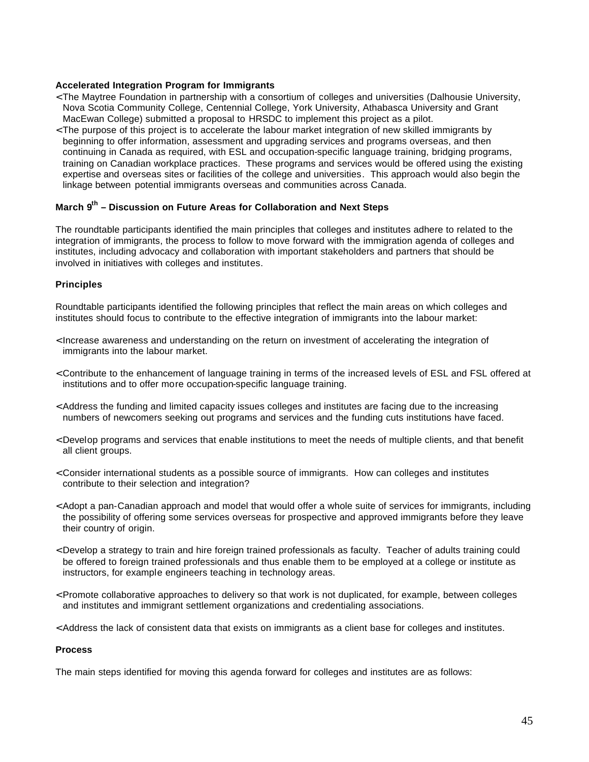#### **Accelerated Integration Program for Immigrants**

- < The Maytree Foundation in partnership with a consortium of colleges and universities (Dalhousie University, Nova Scotia Community College, Centennial College, York University, Athabasca University and Grant MacEwan College) submitted a proposal to HRSDC to implement this project as a pilot.
- < The purpose of this project is to accelerate the labour market integration of new skilled immigrants by beginning to offer information, assessment and upgrading services and programs overseas, and then continuing in Canada as required, with ESL and occupation-specific language training, bridging programs, training on Canadian workplace practices. These programs and services would be offered using the existing expertise and overseas sites or facilities of the college and universities. This approach would also begin the linkage between potential immigrants overseas and communities across Canada.

#### March 9<sup>th</sup> – Discussion on Future Areas for Collaboration and Next Steps

The roundtable participants identified the main principles that colleges and institutes adhere to related to the integration of immigrants, the process to follow to move forward with the immigration agenda of colleges and institutes, including advocacy and collaboration with important stakeholders and partners that should be involved in initiatives with colleges and institutes.

#### **Principles**

Roundtable participants identified the following principles that reflect the main areas on which colleges and institutes should focus to contribute to the effective integration of immigrants into the labour market:

- < Increase awareness and understanding on the return on investment of accelerating the integration of immigrants into the labour market.
- < Contribute to the enhancement of language training in terms of the increased levels of ESL and FSL offered at institutions and to offer more occupation-specific language training.
- < Address the funding and limited capacity issues colleges and institutes are facing due to the increasing numbers of newcomers seeking out programs and services and the funding cuts institutions have faced.
- < Develop programs and services that enable institutions to meet the needs of multiple clients, and that benefit all client groups.
- < Consider international students as a possible source of immigrants. How can colleges and institutes contribute to their selection and integration?
- < Adopt a pan-Canadian approach and model that would offer a whole suite of services for immigrants, including the possibility of offering some services overseas for prospective and approved immigrants before they leave their country of origin.
- < Develop a strategy to train and hire foreign trained professionals as faculty. Teacher of adults training could be offered to foreign trained professionals and thus enable them to be employed at a college or institute as instructors, for example engineers teaching in technology areas.
- < Promote collaborative approaches to delivery so that work is not duplicated, for example, between colleges and institutes and immigrant settlement organizations and credentialing associations.
- < Address the lack of consistent data that exists on immigrants as a client base for colleges and institutes.

#### **Process**

The main steps identified for moving this agenda forward for colleges and institutes are as follows: